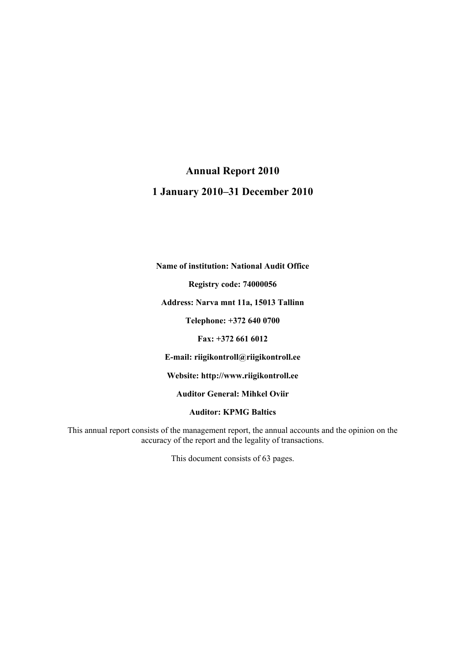### **Annual Report 2010**

### **1 January 2010–31 December 2010**

**Name of institution: National Audit Office**

**Registry code: 74000056**

**Address: Narva mnt 11a, 15013 Tallinn**

**Telephone: +372 640 0700**

**Fax: +372 661 6012**

**E-mail: riigikontroll@riigikontroll.ee** 

**Website: http://www.riigikontroll.ee**

**Auditor General: Mihkel Oviir**

**Auditor: KPMG Baltics**

This annual report consists of the management report, the annual accounts and the opinion on the accuracy of the report and the legality of transactions.

This document consists of 63 pages.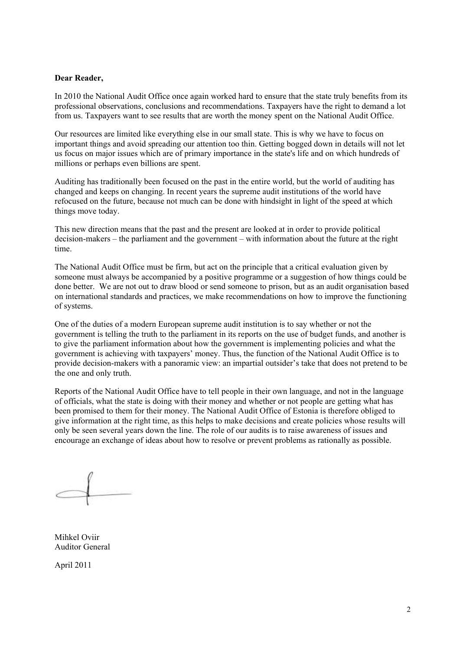#### **Dear Reader,**

In 2010 the National Audit Office once again worked hard to ensure that the state truly benefits from its professional observations, conclusions and recommendations. Taxpayers have the right to demand a lot from us. Taxpayers want to see results that are worth the money spent on the National Audit Office.

Our resources are limited like everything else in our small state. This is why we have to focus on important things and avoid spreading our attention too thin. Getting bogged down in details will not let us focus on major issues which are of primary importance in the state's life and on which hundreds of millions or perhaps even billions are spent.

Auditing has traditionally been focused on the past in the entire world, but the world of auditing has changed and keeps on changing. In recent years the supreme audit institutions of the world have refocused on the future, because not much can be done with hindsight in light of the speed at which things move today.

This new direction means that the past and the present are looked at in order to provide political decision-makers – the parliament and the government – with information about the future at the right time.

The National Audit Office must be firm, but act on the principle that a critical evaluation given by someone must always be accompanied by a positive programme or a suggestion of how things could be done better. We are not out to draw blood or send someone to prison, but as an audit organisation based on international standards and practices, we make recommendations on how to improve the functioning of systems.

One of the duties of a modern European supreme audit institution is to say whether or not the government is telling the truth to the parliament in its reports on the use of budget funds, and another is to give the parliament information about how the government is implementing policies and what the government is achieving with taxpayers" money. Thus, the function of the National Audit Office is to provide decision-makers with a panoramic view: an impartial outsider"s take that does not pretend to be the one and only truth.

Reports of the National Audit Office have to tell people in their own language, and not in the language of officials, what the state is doing with their money and whether or not people are getting what has been promised to them for their money. The National Audit Office of Estonia is therefore obliged to give information at the right time, as this helps to make decisions and create policies whose results will only be seen several years down the line. The role of our audits is to raise awareness of issues and encourage an exchange of ideas about how to resolve or prevent problems as rationally as possible.

Mihkel Oviir Auditor General

April 2011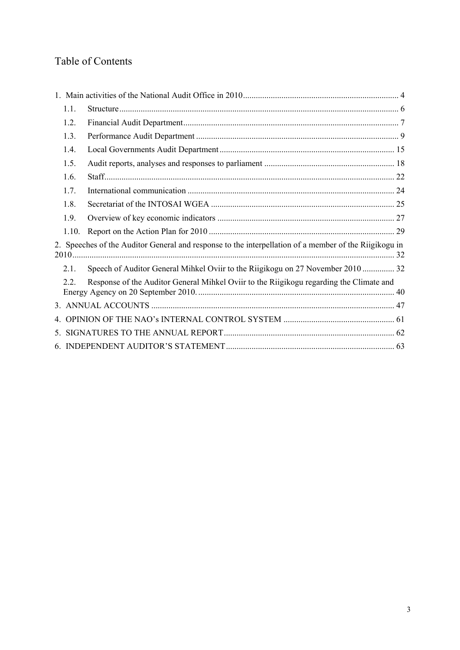# Table of Contents

| 1.1.  |                                                                                                       |  |
|-------|-------------------------------------------------------------------------------------------------------|--|
| 1.2.  |                                                                                                       |  |
| 1.3.  |                                                                                                       |  |
| 1.4.  |                                                                                                       |  |
| 1.5.  |                                                                                                       |  |
| 1.6.  |                                                                                                       |  |
| 1.7.  |                                                                                                       |  |
| 1.8.  |                                                                                                       |  |
| 1.9.  |                                                                                                       |  |
| 1.10. |                                                                                                       |  |
|       | 2. Speeches of the Auditor General and response to the interpellation of a member of the Riigikogu in |  |
| 2.1   | Speech of Auditor General Mihkel Oviir to the Riigikogu on 27 November 2010  32                       |  |
| 22    | Response of the Auditor General Mihkel Oviir to the Riigikogu regarding the Climate and               |  |
|       |                                                                                                       |  |
|       |                                                                                                       |  |
|       |                                                                                                       |  |
|       |                                                                                                       |  |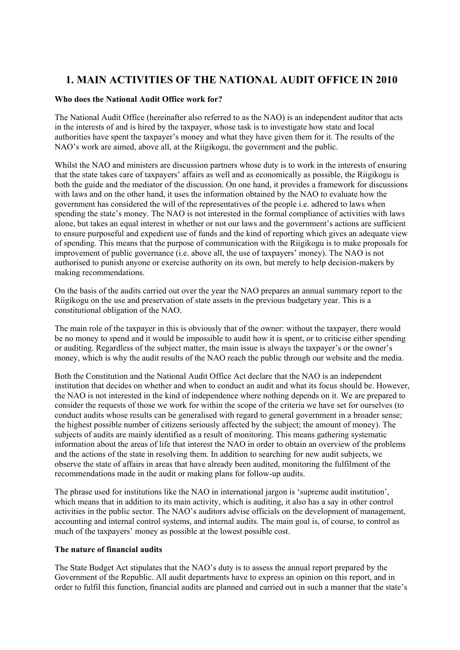## <span id="page-3-0"></span>**1. MAIN ACTIVITIES OF THE NATIONAL AUDIT OFFICE IN 2010**

#### **Who does the National Audit Office work for?**

The National Audit Office (hereinafter also referred to as the NAO) is an independent auditor that acts in the interests of and is hired by the taxpayer, whose task is to investigate how state and local authorities have spent the taxpayer"s money and what they have given them for it. The results of the NAO"s work are aimed, above all, at the Riigikogu, the government and the public.

Whilst the NAO and ministers are discussion partners whose duty is to work in the interests of ensuring that the state takes care of taxpayers" affairs as well and as economically as possible, the Riigikogu is both the guide and the mediator of the discussion. On one hand, it provides a framework for discussions with laws and on the other hand, it uses the information obtained by the NAO to evaluate how the government has considered the will of the representatives of the people i.e. adhered to laws when spending the state's money. The NAO is not interested in the formal compliance of activities with laws alone, but takes an equal interest in whether or not our laws and the government"s actions are sufficient to ensure purposeful and expedient use of funds and the kind of reporting which gives an adequate view of spending. This means that the purpose of communication with the Riigikogu is to make proposals for improvement of public governance (i.e. above all, the use of taxpayers' money). The NAO is not authorised to punish anyone or exercise authority on its own, but merely to help decision-makers by making recommendations.

On the basis of the audits carried out over the year the NAO prepares an annual summary report to the Riigikogu on the use and preservation of state assets in the previous budgetary year. This is a constitutional obligation of the NAO.

The main role of the taxpayer in this is obviously that of the owner: without the taxpayer, there would be no money to spend and it would be impossible to audit how it is spent, or to criticise either spending or auditing. Regardless of the subject matter, the main issue is always the taxpayer"s or the owner"s money, which is why the audit results of the NAO reach the public through our website and the media.

Both the Constitution and the National Audit Office Act declare that the NAO is an independent institution that decides on whether and when to conduct an audit and what its focus should be. However, the NAO is not interested in the kind of independence where nothing depends on it. We are prepared to consider the requests of those we work for within the scope of the criteria we have set for ourselves (to conduct audits whose results can be generalised with regard to general government in a broader sense; the highest possible number of citizens seriously affected by the subject; the amount of money). The subjects of audits are mainly identified as a result of monitoring. This means gathering systematic information about the areas of life that interest the NAO in order to obtain an overview of the problems and the actions of the state in resolving them. In addition to searching for new audit subjects, we observe the state of affairs in areas that have already been audited, monitoring the fulfilment of the recommendations made in the audit or making plans for follow-up audits.

The phrase used for institutions like the NAO in international jargon is "supreme audit institution", which means that in addition to its main activity, which is auditing, it also has a say in other control activities in the public sector. The NAO"s auditors advise officials on the development of management, accounting and internal control systems, and internal audits. The main goal is, of course, to control as much of the taxpayers' money as possible at the lowest possible cost.

#### **The nature of financial audits**

The State Budget Act stipulates that the NAO"s duty is to assess the annual report prepared by the Government of the Republic. All audit departments have to express an opinion on this report, and in order to fulfil this function, financial audits are planned and carried out in such a manner that the state"s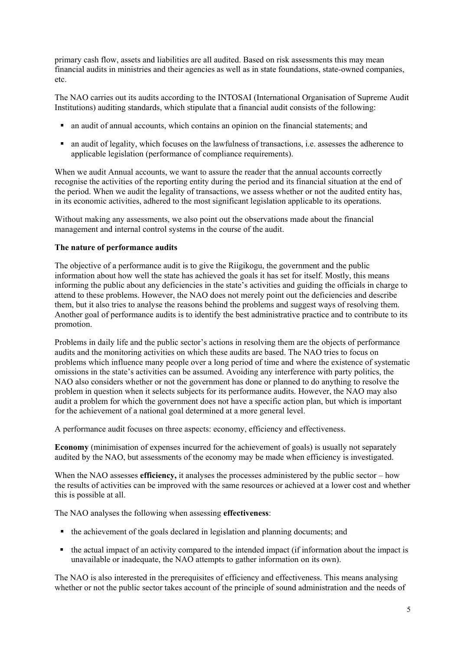primary cash flow, assets and liabilities are all audited. Based on risk assessments this may mean financial audits in ministries and their agencies as well as in state foundations, state-owned companies, etc.

The NAO carries out its audits according to the INTOSAI (International Organisation of Supreme Audit Institutions) auditing standards, which stipulate that a financial audit consists of the following:

- an audit of annual accounts, which contains an opinion on the financial statements; and
- an audit of legality, which focuses on the lawfulness of transactions, i.e. assesses the adherence to applicable legislation (performance of compliance requirements).

When we audit Annual accounts, we want to assure the reader that the annual accounts correctly recognise the activities of the reporting entity during the period and its financial situation at the end of the period. When we audit the legality of transactions, we assess whether or not the audited entity has, in its economic activities, adhered to the most significant legislation applicable to its operations.

Without making any assessments, we also point out the observations made about the financial management and internal control systems in the course of the audit.

#### **The nature of performance audits**

The objective of a performance audit is to give the Riigikogu, the government and the public information about how well the state has achieved the goals it has set for itself. Mostly, this means informing the public about any deficiencies in the state"s activities and guiding the officials in charge to attend to these problems. However, the NAO does not merely point out the deficiencies and describe them, but it also tries to analyse the reasons behind the problems and suggest ways of resolving them. Another goal of performance audits is to identify the best administrative practice and to contribute to its promotion.

Problems in daily life and the public sector's actions in resolving them are the objects of performance audits and the monitoring activities on which these audits are based. The NAO tries to focus on problems which influence many people over a long period of time and where the existence of systematic omissions in the state"s activities can be assumed. Avoiding any interference with party politics, the NAO also considers whether or not the government has done or planned to do anything to resolve the problem in question when it selects subjects for its performance audits. However, the NAO may also audit a problem for which the government does not have a specific action plan, but which is important for the achievement of a national goal determined at a more general level.

A performance audit focuses on three aspects: economy, efficiency and effectiveness.

**Economy** (minimisation of expenses incurred for the achievement of goals) is usually not separately audited by the NAO, but assessments of the economy may be made when efficiency is investigated.

When the NAO assesses **efficiency**, it analyses the processes administered by the public sector – how the results of activities can be improved with the same resources or achieved at a lower cost and whether this is possible at all.

The NAO analyses the following when assessing **effectiveness**:

- the achievement of the goals declared in legislation and planning documents; and
- the actual impact of an activity compared to the intended impact (if information about the impact is unavailable or inadequate, the NAO attempts to gather information on its own).

The NAO is also interested in the prerequisites of efficiency and effectiveness. This means analysing whether or not the public sector takes account of the principle of sound administration and the needs of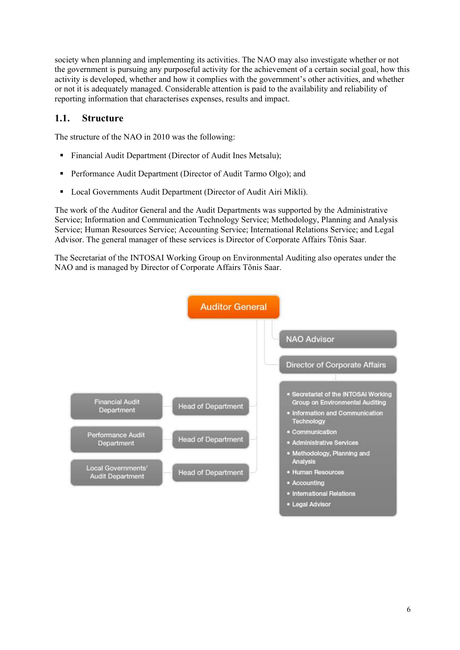society when planning and implementing its activities. The NAO may also investigate whether or not the government is pursuing any purposeful activity for the achievement of a certain social goal, how this activity is developed, whether and how it complies with the government"s other activities, and whether or not it is adequately managed. Considerable attention is paid to the availability and reliability of reporting information that characterises expenses, results and impact.

### <span id="page-5-0"></span>**1.1. Structure**

The structure of the NAO in 2010 was the following:

- Financial Audit Department (Director of Audit Ines Metsalu);
- **Performance Audit Department (Director of Audit Tarmo Olgo); and**
- Local Governments Audit Department (Director of Audit Airi Mikli).

The work of the Auditor General and the Audit Departments was supported by the Administrative Service; Information and Communication Technology Service; Methodology, Planning and Analysis Service; Human Resources Service; Accounting Service; International Relations Service; and Legal Advisor. The general manager of these services is Director of Corporate Affairs Tõnis Saar.

The Secretariat of the INTOSAI Working Group on Environmental Auditing also operates under the NAO and is managed by Director of Corporate Affairs Tõnis Saar.



· Legal Advisor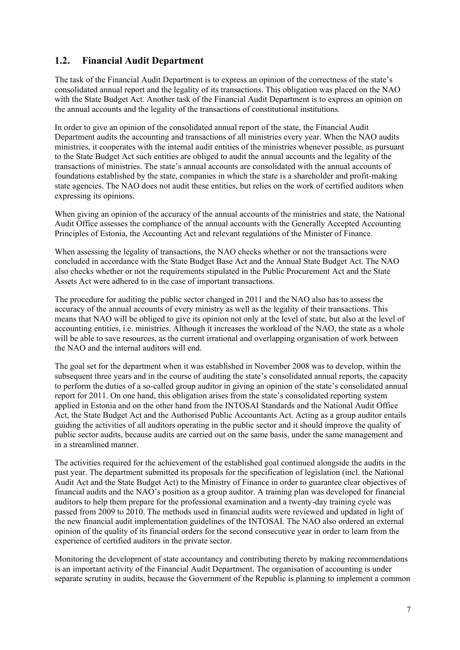### <span id="page-6-0"></span>**1.2. Financial Audit Department**

The task of the Financial Audit Department is to express an opinion of the correctness of the state"s consolidated annual report and the legality of its transactions. This obligation was placed on the NAO with the State Budget Act. Another task of the Financial Audit Department is to express an opinion on the annual accounts and the legality of the transactions of constitutional institutions.

In order to give an opinion of the consolidated annual report of the state, the Financial Audit Department audits the accounting and transactions of all ministries every year. When the NAO audits ministries, it cooperates with the internal audit entities of the ministries whenever possible, as pursuant to the State Budget Act such entities are obliged to audit the annual accounts and the legality of the transactions of ministries. The state"s annual accounts are consolidated with the annual accounts of foundations established by the state, companies in which the state is a shareholder and profit-making state agencies. The NAO does not audit these entities, but relies on the work of certified auditors when expressing its opinions.

When giving an opinion of the accuracy of the annual accounts of the ministries and state, the National Audit Office assesses the compliance of the annual accounts with the Generally Accepted Accounting Principles of Estonia, the Accounting Act and relevant regulations of the Minister of Finance.

When assessing the legality of transactions, the NAO checks whether or not the transactions were concluded in accordance with the State Budget Base Act and the Annual State Budget Act. The NAO also checks whether or not the requirements stipulated in the Public Procurement Act and the State Assets Act were adhered to in the case of important transactions.

The procedure for auditing the public sector changed in 2011 and the NAO also has to assess the accuracy of the annual accounts of every ministry as well as the legality of their transactions. This means that NAO will be obliged to give its opinion not only at the level of state, but also at the level of accounting entities, i.e. ministries. Although it increases the workload of the NAO, the state as a whole will be able to save resources, as the current irrational and overlapping organisation of work between the NAO and the internal auditors will end.

The goal set for the department when it was established in November 2008 was to develop, within the subsequent three years and in the course of auditing the state's consolidated annual reports, the capacity to perform the duties of a so-called group auditor in giving an opinion of the state"s consolidated annual report for 2011. On one hand, this obligation arises from the state"s consolidated reporting system applied in Estonia and on the other hand from the INTOSAI Standards and the National Audit Office Act, the State Budget Act and the Authorised Public Accountants Act. Acting as a group auditor entails guiding the activities of all auditors operating in the public sector and it should improve the quality of public sector audits, because audits are carried out on the same basis, under the same management and in a streamlined manner.

The activities required for the achievement of the established goal continued alongside the audits in the past year. The department submitted its proposals for the specification of legislation (incl. the National Audit Act and the State Budget Act) to the Ministry of Finance in order to guarantee clear objectives of financial audits and the NAO"s position as a group auditor. A training plan was developed for financial auditors to help them prepare for the professional examination and a twenty-day training cycle was passed from 2009 to 2010. The methods used in financial audits were reviewed and updated in light of the new financial audit implementation guidelines of the INTOSAI. The NAO also ordered an external opinion of the quality of its financial orders for the second consecutive year in order to learn from the experience of certified auditors in the private sector.

Monitoring the development of state accountancy and contributing thereto by making recommendations is an important activity of the Financial Audit Department. The organisation of accounting is under separate scrutiny in audits, because the Government of the Republic is planning to implement a common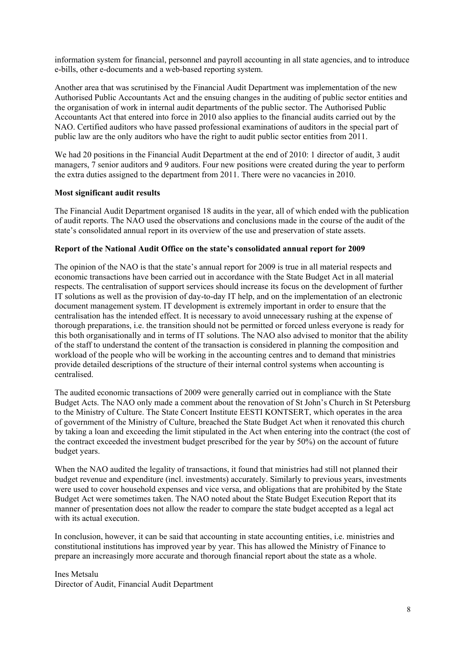information system for financial, personnel and payroll accounting in all state agencies, and to introduce e-bills, other e-documents and a web-based reporting system.

Another area that was scrutinised by the Financial Audit Department was implementation of the new Authorised Public Accountants Act and the ensuing changes in the auditing of public sector entities and the organisation of work in internal audit departments of the public sector. The Authorised Public Accountants Act that entered into force in 2010 also applies to the financial audits carried out by the NAO. Certified auditors who have passed professional examinations of auditors in the special part of public law are the only auditors who have the right to audit public sector entities from 2011.

We had 20 positions in the Financial Audit Department at the end of 2010: 1 director of audit, 3 audit managers, 7 senior auditors and 9 auditors. Four new positions were created during the year to perform the extra duties assigned to the department from 2011. There were no vacancies in 2010.

#### **Most significant audit results**

The Financial Audit Department organised 18 audits in the year, all of which ended with the publication of audit reports. The NAO used the observations and conclusions made in the course of the audit of the state"s consolidated annual report in its overview of the use and preservation of state assets.

#### **Report of the National Audit Office on the state's consolidated annual report for 2009**

The opinion of the NAO is that the state's annual report for 2009 is true in all material respects and economic transactions have been carried out in accordance with the State Budget Act in all material respects. The centralisation of support services should increase its focus on the development of further IT solutions as well as the provision of day-to-day IT help, and on the implementation of an electronic document management system. IT development is extremely important in order to ensure that the centralisation has the intended effect. It is necessary to avoid unnecessary rushing at the expense of thorough preparations, i.e. the transition should not be permitted or forced unless everyone is ready for this both organisationally and in terms of IT solutions. The NAO also advised to monitor that the ability of the staff to understand the content of the transaction is considered in planning the composition and workload of the people who will be working in the accounting centres and to demand that ministries provide detailed descriptions of the structure of their internal control systems when accounting is centralised.

The audited economic transactions of 2009 were generally carried out in compliance with the State Budget Acts. The NAO only made a comment about the renovation of St John"s Church in St Petersburg to the Ministry of Culture. The State Concert Institute EESTI KONTSERT, which operates in the area of government of the Ministry of Culture, breached the State Budget Act when it renovated this church by taking a loan and exceeding the limit stipulated in the Act when entering into the contract (the cost of the contract exceeded the investment budget prescribed for the year by 50%) on the account of future budget years.

When the NAO audited the legality of transactions, it found that ministries had still not planned their budget revenue and expenditure (incl. investments) accurately. Similarly to previous years, investments were used to cover household expenses and vice versa, and obligations that are prohibited by the State Budget Act were sometimes taken. The NAO noted about the State Budget Execution Report that its manner of presentation does not allow the reader to compare the state budget accepted as a legal act with its actual execution.

In conclusion, however, it can be said that accounting in state accounting entities, i.e. ministries and constitutional institutions has improved year by year. This has allowed the Ministry of Finance to prepare an increasingly more accurate and thorough financial report about the state as a whole.

Ines Metsalu Director of Audit, Financial Audit Department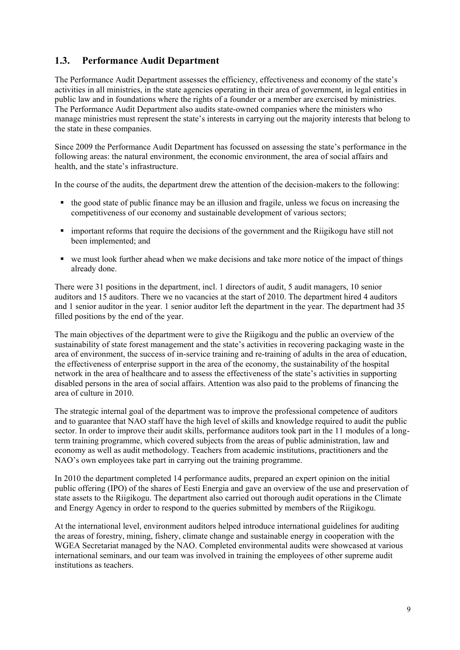### <span id="page-8-0"></span>**1.3. Performance Audit Department**

The Performance Audit Department assesses the efficiency, effectiveness and economy of the state"s activities in all ministries, in the state agencies operating in their area of government, in legal entities in public law and in foundations where the rights of a founder or a member are exercised by ministries. The Performance Audit Department also audits state-owned companies where the ministers who manage ministries must represent the state"s interests in carrying out the majority interests that belong to the state in these companies.

Since 2009 the Performance Audit Department has focussed on assessing the state's performance in the following areas: the natural environment, the economic environment, the area of social affairs and health, and the state's infrastructure.

In the course of the audits, the department drew the attention of the decision-makers to the following:

- $\bullet$  the good state of public finance may be an illusion and fragile, unless we focus on increasing the competitiveness of our economy and sustainable development of various sectors;
- important reforms that require the decisions of the government and the Riigikogu have still not been implemented; and
- we must look further ahead when we make decisions and take more notice of the impact of things already done.

There were 31 positions in the department, incl. 1 directors of audit, 5 audit managers, 10 senior auditors and 15 auditors. There we no vacancies at the start of 2010. The department hired 4 auditors and 1 senior auditor in the year. 1 senior auditor left the department in the year. The department had 35 filled positions by the end of the year.

The main objectives of the department were to give the Riigikogu and the public an overview of the sustainability of state forest management and the state"s activities in recovering packaging waste in the area of environment, the success of in-service training and re-training of adults in the area of education, the effectiveness of enterprise support in the area of the economy, the sustainability of the hospital network in the area of healthcare and to assess the effectiveness of the state"s activities in supporting disabled persons in the area of social affairs. Attention was also paid to the problems of financing the area of culture in 2010.

The strategic internal goal of the department was to improve the professional competence of auditors and to guarantee that NAO staff have the high level of skills and knowledge required to audit the public sector. In order to improve their audit skills, performance auditors took part in the 11 modules of a longterm training programme, which covered subjects from the areas of public administration, law and economy as well as audit methodology. Teachers from academic institutions, practitioners and the NAO"s own employees take part in carrying out the training programme.

In 2010 the department completed 14 performance audits, prepared an expert opinion on the initial public offering (IPO) of the shares of Eesti Energia and gave an overview of the use and preservation of state assets to the Riigikogu. The department also carried out thorough audit operations in the Climate and Energy Agency in order to respond to the queries submitted by members of the Riigikogu.

At the international level, environment auditors helped introduce international guidelines for auditing the areas of forestry, mining, fishery, climate change and sustainable energy in cooperation with the WGEA Secretariat managed by the NAO. Completed environmental audits were showcased at various international seminars, and our team was involved in training the employees of other supreme audit institutions as teachers.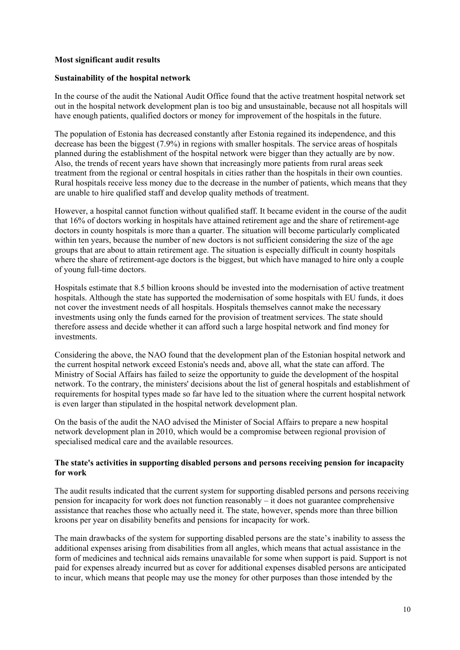#### **Most significant audit results**

#### **Sustainability of the hospital network**

In the course of the audit the National Audit Office found that the active treatment hospital network set out in the hospital network development plan is too big and unsustainable, because not all hospitals will have enough patients, qualified doctors or money for improvement of the hospitals in the future.

The population of Estonia has decreased constantly after Estonia regained its independence, and this decrease has been the biggest (7.9%) in regions with smaller hospitals. The service areas of hospitals planned during the establishment of the hospital network were bigger than they actually are by now. Also, the trends of recent years have shown that increasingly more patients from rural areas seek treatment from the regional or central hospitals in cities rather than the hospitals in their own counties. Rural hospitals receive less money due to the decrease in the number of patients, which means that they are unable to hire qualified staff and develop quality methods of treatment.

However, a hospital cannot function without qualified staff. It became evident in the course of the audit that 16% of doctors working in hospitals have attained retirement age and the share of retirement-age doctors in county hospitals is more than a quarter. The situation will become particularly complicated within ten years, because the number of new doctors is not sufficient considering the size of the age groups that are about to attain retirement age. The situation is especially difficult in county hospitals where the share of retirement-age doctors is the biggest, but which have managed to hire only a couple of young full-time doctors.

Hospitals estimate that 8.5 billion kroons should be invested into the modernisation of active treatment hospitals. Although the state has supported the modernisation of some hospitals with EU funds, it does not cover the investment needs of all hospitals. Hospitals themselves cannot make the necessary investments using only the funds earned for the provision of treatment services. The state should therefore assess and decide whether it can afford such a large hospital network and find money for investments.

Considering the above, the NAO found that the development plan of the Estonian hospital network and the current hospital network exceed Estonia's needs and, above all, what the state can afford. The Ministry of Social Affairs has failed to seize the opportunity to guide the development of the hospital network. To the contrary, the ministers' decisions about the list of general hospitals and establishment of requirements for hospital types made so far have led to the situation where the current hospital network is even larger than stipulated in the hospital network development plan.

On the basis of the audit the NAO advised the Minister of Social Affairs to prepare a new hospital network development plan in 2010, which would be a compromise between regional provision of specialised medical care and the available resources.

#### **The state's activities in supporting disabled persons and persons receiving pension for incapacity for work**

The audit results indicated that the current system for supporting disabled persons and persons receiving pension for incapacity for work does not function reasonably – it does not guarantee comprehensive assistance that reaches those who actually need it. The state, however, spends more than three billion kroons per year on disability benefits and pensions for incapacity for work.

The main drawbacks of the system for supporting disabled persons are the state's inability to assess the additional expenses arising from disabilities from all angles, which means that actual assistance in the form of medicines and technical aids remains unavailable for some when support is paid. Support is not paid for expenses already incurred but as cover for additional expenses disabled persons are anticipated to incur, which means that people may use the money for other purposes than those intended by the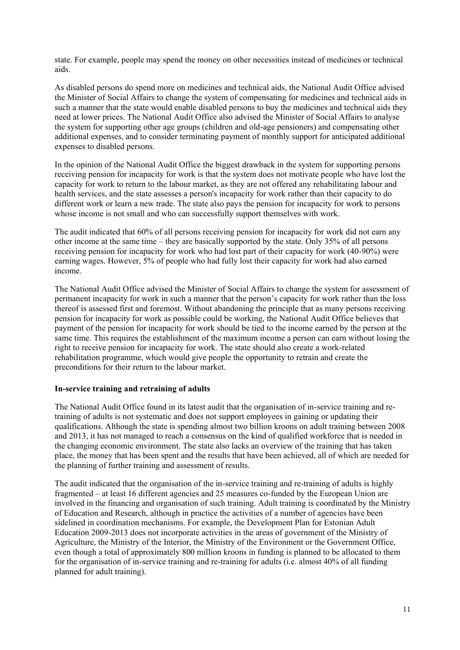state. For example, people may spend the money on other necessities instead of medicines or technical aids.

As disabled persons do spend more on medicines and technical aids, the National Audit Office advised the Minister of Social Affairs to change the system of compensating for medicines and technical aids in such a manner that the state would enable disabled persons to buy the medicines and technical aids they need at lower prices. The National Audit Office also advised the Minister of Social Affairs to analyse the system for supporting other age groups (children and old-age pensioners) and compensating other additional expenses, and to consider terminating payment of monthly support for anticipated additional expenses to disabled persons.

In the opinion of the National Audit Office the biggest drawback in the system for supporting persons receiving pension for incapacity for work is that the system does not motivate people who have lost the capacity for work to return to the labour market, as they are not offered any rehabilitating labour and health services, and the state assesses a person's incapacity for work rather than their capacity to do different work or learn a new trade. The state also pays the pension for incapacity for work to persons whose income is not small and who can successfully support themselves with work.

The audit indicated that 60% of all persons receiving pension for incapacity for work did not earn any other income at the same time – they are basically supported by the state. Only 35% of all persons receiving pension for incapacity for work who had lost part of their capacity for work (40-90%) were earning wages. However, 5% of people who had fully lost their capacity for work had also earned income.

The National Audit Office advised the Minister of Social Affairs to change the system for assessment of permanent incapacity for work in such a manner that the person"s capacity for work rather than the loss thereof is assessed first and foremost. Without abandoning the principle that as many persons receiving pension for incapacity for work as possible could be working, the National Audit Office believes that payment of the pension for incapacity for work should be tied to the income earned by the person at the same time. This requires the establishment of the maximum income a person can earn without losing the right to receive pension for incapacity for work. The state should also create a work-related rehabilitation programme, which would give people the opportunity to retrain and create the preconditions for their return to the labour market.

#### **In-service training and retraining of adults**

The National Audit Office found in its latest audit that the organisation of in-service training and retraining of adults is not systematic and does not support employees in gaining or updating their qualifications. Although the state is spending almost two billion kroons on adult training between 2008 and 2013, it has not managed to reach a consensus on the kind of qualified workforce that is needed in the changing economic environment. The state also lacks an overview of the training that has taken place, the money that has been spent and the results that have been achieved, all of which are needed for the planning of further training and assessment of results.

The audit indicated that the organisation of the in-service training and re-training of adults is highly fragmented – at least 16 different agencies and 25 measures co-funded by the European Union are involved in the financing and organisation of such training. Adult training is coordinated by the Ministry of Education and Research, although in practice the activities of a number of agencies have been sidelined in coordination mechanisms. For example, the Development Plan for Estonian Adult Education 2009-2013 does not incorporate activities in the areas of government of the Ministry of Agriculture, the Ministry of the Interior, the Ministry of the Environment or the Government Office, even though a total of approximately 800 million kroons in funding is planned to be allocated to them for the organisation of in-service training and re-training for adults (i.e. almost 40% of all funding planned for adult training).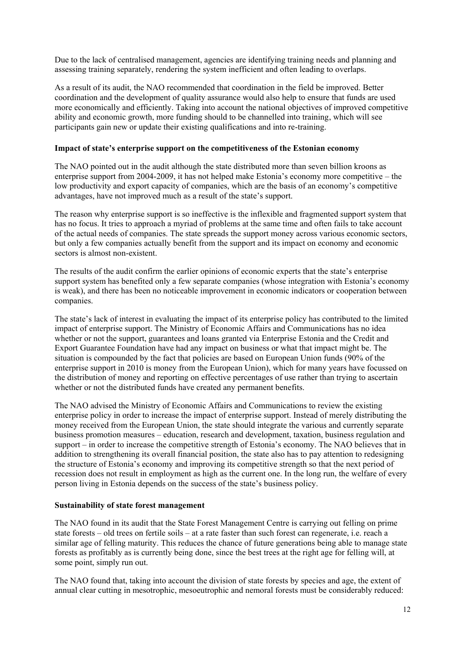Due to the lack of centralised management, agencies are identifying training needs and planning and assessing training separately, rendering the system inefficient and often leading to overlaps.

As a result of its audit, the NAO recommended that coordination in the field be improved. Better coordination and the development of quality assurance would also help to ensure that funds are used more economically and efficiently. Taking into account the national objectives of improved competitive ability and economic growth, more funding should to be channelled into training, which will see participants gain new or update their existing qualifications and into re-training.

#### **Impact of state's enterprise support on the competitiveness of the Estonian economy**

The NAO pointed out in the audit although the state distributed more than seven billion kroons as enterprise support from 2004-2009, it has not helped make Estonia"s economy more competitive – the low productivity and export capacity of companies, which are the basis of an economy"s competitive advantages, have not improved much as a result of the state's support.

The reason why enterprise support is so ineffective is the inflexible and fragmented support system that has no focus. It tries to approach a myriad of problems at the same time and often fails to take account of the actual needs of companies. The state spreads the support money across various economic sectors, but only a few companies actually benefit from the support and its impact on economy and economic sectors is almost non-existent.

The results of the audit confirm the earlier opinions of economic experts that the state"s enterprise support system has benefited only a few separate companies (whose integration with Estonia's economy is weak), and there has been no noticeable improvement in economic indicators or cooperation between companies.

The state"s lack of interest in evaluating the impact of its enterprise policy has contributed to the limited impact of enterprise support. The Ministry of Economic Affairs and Communications has no idea whether or not the support, guarantees and loans granted via Enterprise Estonia and the Credit and Export Guarantee Foundation have had any impact on business or what that impact might be. The situation is compounded by the fact that policies are based on European Union funds (90% of the enterprise support in 2010 is money from the European Union), which for many years have focussed on the distribution of money and reporting on effective percentages of use rather than trying to ascertain whether or not the distributed funds have created any permanent benefits.

The NAO advised the Ministry of Economic Affairs and Communications to review the existing enterprise policy in order to increase the impact of enterprise support. Instead of merely distributing the money received from the European Union, the state should integrate the various and currently separate business promotion measures – education, research and development, taxation, business regulation and support – in order to increase the competitive strength of Estonia's economy. The NAO believes that in addition to strengthening its overall financial position, the state also has to pay attention to redesigning the structure of Estonia"s economy and improving its competitive strength so that the next period of recession does not result in employment as high as the current one. In the long run, the welfare of every person living in Estonia depends on the success of the state"s business policy.

#### **Sustainability of state forest management**

The NAO found in its audit that the State Forest Management Centre is carrying out felling on prime state forests – old trees on fertile soils – at a rate faster than such forest can regenerate, i.e. reach a similar age of felling maturity. This reduces the chance of future generations being able to manage state forests as profitably as is currently being done, since the best trees at the right age for felling will, at some point, simply run out.

The NAO found that, taking into account the division of state forests by species and age, the extent of annual clear cutting in mesotrophic, mesoeutrophic and nemoral forests must be considerably reduced: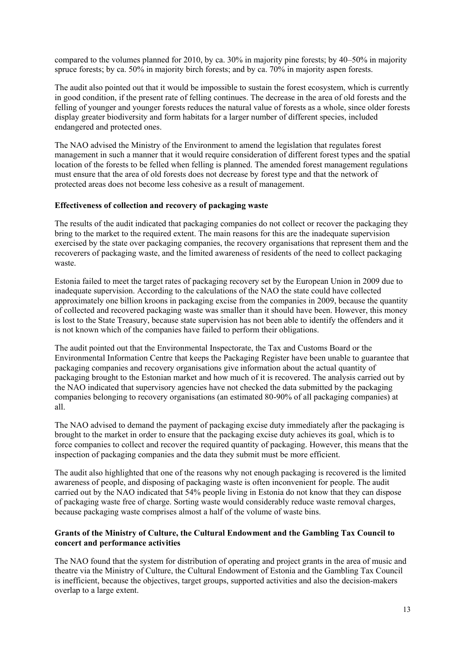compared to the volumes planned for 2010, by ca. 30% in majority pine forests; by 40–50% in majority spruce forests; by ca. 50% in majority birch forests; and by ca. 70% in majority aspen forests.

The audit also pointed out that it would be impossible to sustain the forest ecosystem, which is currently in good condition, if the present rate of felling continues. The decrease in the area of old forests and the felling of younger and younger forests reduces the natural value of forests as a whole, since older forests display greater biodiversity and form habitats for a larger number of different species, included endangered and protected ones.

The NAO advised the Ministry of the Environment to amend the legislation that regulates forest management in such a manner that it would require consideration of different forest types and the spatial location of the forests to be felled when felling is planned. The amended forest management regulations must ensure that the area of old forests does not decrease by forest type and that the network of protected areas does not become less cohesive as a result of management.

#### **Effectiveness of collection and recovery of packaging waste**

The results of the audit indicated that packaging companies do not collect or recover the packaging they bring to the market to the required extent. The main reasons for this are the inadequate supervision exercised by the state over packaging companies, the recovery organisations that represent them and the recoverers of packaging waste, and the limited awareness of residents of the need to collect packaging waste.

Estonia failed to meet the target rates of packaging recovery set by the European Union in 2009 due to inadequate supervision. According to the calculations of the NAO the state could have collected approximately one billion kroons in packaging excise from the companies in 2009, because the quantity of collected and recovered packaging waste was smaller than it should have been. However, this money is lost to the State Treasury, because state supervision has not been able to identify the offenders and it is not known which of the companies have failed to perform their obligations.

The audit pointed out that the Environmental Inspectorate, the Tax and Customs Board or the Environmental Information Centre that keeps the Packaging Register have been unable to guarantee that packaging companies and recovery organisations give information about the actual quantity of packaging brought to the Estonian market and how much of it is recovered. The analysis carried out by the NAO indicated that supervisory agencies have not checked the data submitted by the packaging companies belonging to recovery organisations (an estimated 80-90% of all packaging companies) at all.

The NAO advised to demand the payment of packaging excise duty immediately after the packaging is brought to the market in order to ensure that the packaging excise duty achieves its goal, which is to force companies to collect and recover the required quantity of packaging. However, this means that the inspection of packaging companies and the data they submit must be more efficient.

The audit also highlighted that one of the reasons why not enough packaging is recovered is the limited awareness of people, and disposing of packaging waste is often inconvenient for people. The audit carried out by the NAO indicated that 54% people living in Estonia do not know that they can dispose of packaging waste free of charge. Sorting waste would considerably reduce waste removal charges, because packaging waste comprises almost a half of the volume of waste bins.

#### **Grants of the Ministry of Culture, the Cultural Endowment and the Gambling Tax Council to concert and performance activities**

The NAO found that the system for distribution of operating and project grants in the area of music and theatre via the Ministry of Culture, the Cultural Endowment of Estonia and the Gambling Tax Council is inefficient, because the objectives, target groups, supported activities and also the decision-makers overlap to a large extent.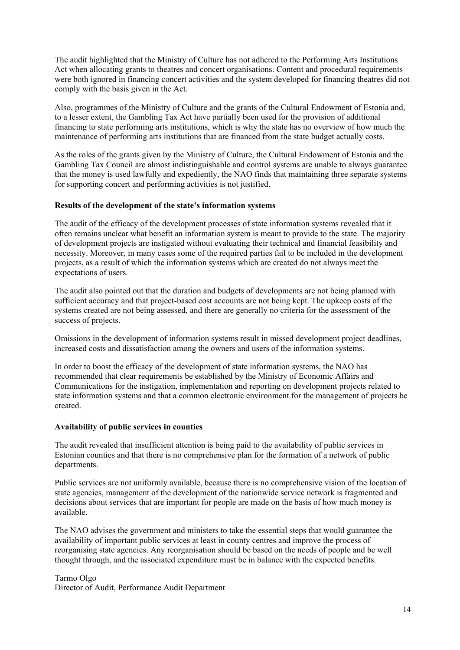The audit highlighted that the Ministry of Culture has not adhered to the Performing Arts Institutions Act when allocating grants to theatres and concert organisations. Content and procedural requirements were both ignored in financing concert activities and the system developed for financing theatres did not comply with the basis given in the Act.

Also, programmes of the Ministry of Culture and the grants of the Cultural Endowment of Estonia and, to a lesser extent, the Gambling Tax Act have partially been used for the provision of additional financing to state performing arts institutions, which is why the state has no overview of how much the maintenance of performing arts institutions that are financed from the state budget actually costs.

As the roles of the grants given by the Ministry of Culture, the Cultural Endowment of Estonia and the Gambling Tax Council are almost indistinguishable and control systems are unable to always guarantee that the money is used lawfully and expediently, the NAO finds that maintaining three separate systems for supporting concert and performing activities is not justified.

#### **Results of the development of the state's information systems**

The audit of the efficacy of the development processes of state information systems revealed that it often remains unclear what benefit an information system is meant to provide to the state. The majority of development projects are instigated without evaluating their technical and financial feasibility and necessity. Moreover, in many cases some of the required parties fail to be included in the development projects, as a result of which the information systems which are created do not always meet the expectations of users.

The audit also pointed out that the duration and budgets of developments are not being planned with sufficient accuracy and that project-based cost accounts are not being kept. The upkeep costs of the systems created are not being assessed, and there are generally no criteria for the assessment of the success of projects.

Omissions in the development of information systems result in missed development project deadlines, increased costs and dissatisfaction among the owners and users of the information systems.

In order to boost the efficacy of the development of state information systems, the NAO has recommended that clear requirements be established by the Ministry of Economic Affairs and Communications for the instigation, implementation and reporting on development projects related to state information systems and that a common electronic environment for the management of projects be created.

#### **Availability of public services in counties**

The audit revealed that insufficient attention is being paid to the availability of public services in Estonian counties and that there is no comprehensive plan for the formation of a network of public departments.

Public services are not uniformly available, because there is no comprehensive vision of the location of state agencies, management of the development of the nationwide service network is fragmented and decisions about services that are important for people are made on the basis of how much money is available.

The NAO advises the government and ministers to take the essential steps that would guarantee the availability of important public services at least in county centres and improve the process of reorganising state agencies. Any reorganisation should be based on the needs of people and be well thought through, and the associated expenditure must be in balance with the expected benefits.

#### Tarmo Olgo

Director of Audit, Performance Audit Department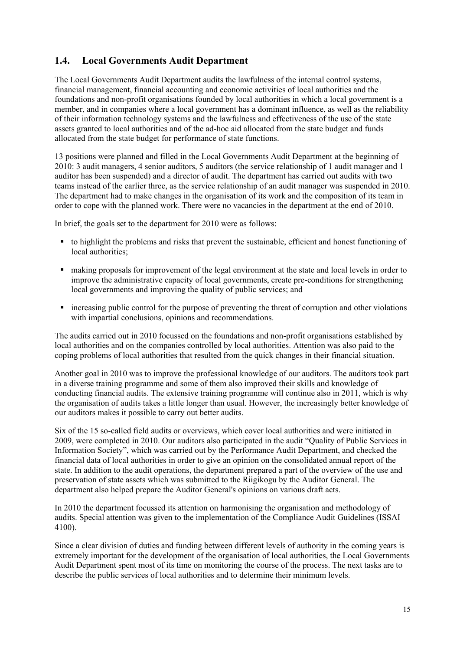### <span id="page-14-0"></span>**1.4. Local Governments Audit Department**

The Local Governments Audit Department audits the lawfulness of the internal control systems, financial management, financial accounting and economic activities of local authorities and the foundations and non-profit organisations founded by local authorities in which a local government is a member, and in companies where a local government has a dominant influence, as well as the reliability of their information technology systems and the lawfulness and effectiveness of the use of the state assets granted to local authorities and of the ad-hoc aid allocated from the state budget and funds allocated from the state budget for performance of state functions.

13 positions were planned and filled in the Local Governments Audit Department at the beginning of 2010: 3 audit managers, 4 senior auditors, 5 auditors (the service relationship of 1 audit manager and 1 auditor has been suspended) and a director of audit. The department has carried out audits with two teams instead of the earlier three, as the service relationship of an audit manager was suspended in 2010. The department had to make changes in the organisation of its work and the composition of its team in order to cope with the planned work. There were no vacancies in the department at the end of 2010.

In brief, the goals set to the department for 2010 were as follows:

- to highlight the problems and risks that prevent the sustainable, efficient and honest functioning of local authorities;
- making proposals for improvement of the legal environment at the state and local levels in order to improve the administrative capacity of local governments, create pre-conditions for strengthening local governments and improving the quality of public services; and
- increasing public control for the purpose of preventing the threat of corruption and other violations with impartial conclusions, opinions and recommendations.

The audits carried out in 2010 focussed on the foundations and non-profit organisations established by local authorities and on the companies controlled by local authorities. Attention was also paid to the coping problems of local authorities that resulted from the quick changes in their financial situation.

Another goal in 2010 was to improve the professional knowledge of our auditors. The auditors took part in a diverse training programme and some of them also improved their skills and knowledge of conducting financial audits. The extensive training programme will continue also in 2011, which is why the organisation of audits takes a little longer than usual. However, the increasingly better knowledge of our auditors makes it possible to carry out better audits.

Six of the 15 so-called field audits or overviews, which cover local authorities and were initiated in 2009, were completed in 2010. Our auditors also participated in the audit "Quality of Public Services in Information Society", which was carried out by the Performance Audit Department, and checked the financial data of local authorities in order to give an opinion on the consolidated annual report of the state. In addition to the audit operations, the department prepared a part of the overview of the use and preservation of state assets which was submitted to the Riigikogu by the Auditor General. The department also helped prepare the Auditor General's opinions on various draft acts.

In 2010 the department focussed its attention on harmonising the organisation and methodology of audits. Special attention was given to the implementation of the Compliance Audit Guidelines (ISSAI 4100).

Since a clear division of duties and funding between different levels of authority in the coming years is extremely important for the development of the organisation of local authorities, the Local Governments Audit Department spent most of its time on monitoring the course of the process. The next tasks are to describe the public services of local authorities and to determine their minimum levels.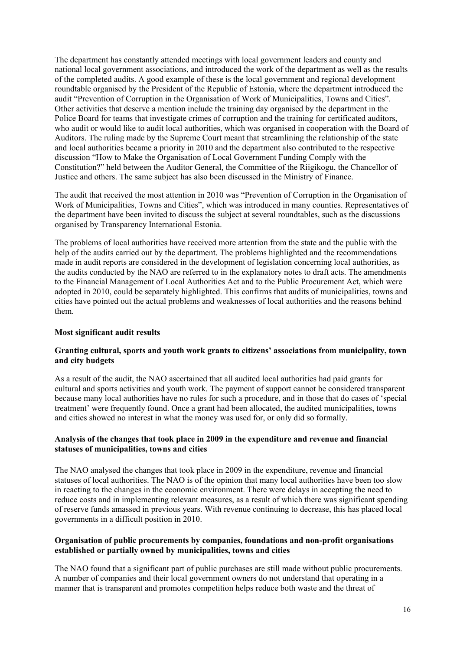The department has constantly attended meetings with local government leaders and county and national local government associations, and introduced the work of the department as well as the results of the completed audits. A good example of these is the local government and regional development roundtable organised by the President of the Republic of Estonia, where the department introduced the audit "Prevention of Corruption in the Organisation of Work of Municipalities, Towns and Cities". Other activities that deserve a mention include the training day organised by the department in the Police Board for teams that investigate crimes of corruption and the training for certificated auditors, who audit or would like to audit local authorities, which was organised in cooperation with the Board of Auditors. The ruling made by the Supreme Court meant that streamlining the relationship of the state and local authorities became a priority in 2010 and the department also contributed to the respective discussion "How to Make the Organisation of Local Government Funding Comply with the Constitution?" held between the Auditor General, the Committee of the Riigikogu, the Chancellor of Justice and others. The same subject has also been discussed in the Ministry of Finance.

The audit that received the most attention in 2010 was "Prevention of Corruption in the Organisation of Work of Municipalities, Towns and Cities", which was introduced in many counties. Representatives of the department have been invited to discuss the subject at several roundtables, such as the discussions organised by Transparency International Estonia.

The problems of local authorities have received more attention from the state and the public with the help of the audits carried out by the department. The problems highlighted and the recommendations made in audit reports are considered in the development of legislation concerning local authorities, as the audits conducted by the NAO are referred to in the explanatory notes to draft acts. The amendments to the Financial Management of Local Authorities Act and to the Public Procurement Act, which were adopted in 2010, could be separately highlighted. This confirms that audits of municipalities, towns and cities have pointed out the actual problems and weaknesses of local authorities and the reasons behind them.

#### **Most significant audit results**

#### **Granting cultural, sports and youth work grants to citizens' associations from municipality, town and city budgets**

As a result of the audit, the NAO ascertained that all audited local authorities had paid grants for cultural and sports activities and youth work. The payment of support cannot be considered transparent because many local authorities have no rules for such a procedure, and in those that do cases of "special treatment" were frequently found. Once a grant had been allocated, the audited municipalities, towns and cities showed no interest in what the money was used for, or only did so formally.

#### **Analysis of the changes that took place in 2009 in the expenditure and revenue and financial statuses of municipalities, towns and cities**

The NAO analysed the changes that took place in 2009 in the expenditure, revenue and financial statuses of local authorities. The NAO is of the opinion that many local authorities have been too slow in reacting to the changes in the economic environment. There were delays in accepting the need to reduce costs and in implementing relevant measures, as a result of which there was significant spending of reserve funds amassed in previous years. With revenue continuing to decrease, this has placed local governments in a difficult position in 2010.

#### **Organisation of public procurements by companies, foundations and non-profit organisations established or partially owned by municipalities, towns and cities**

The NAO found that a significant part of public purchases are still made without public procurements. A number of companies and their local government owners do not understand that operating in a manner that is transparent and promotes competition helps reduce both waste and the threat of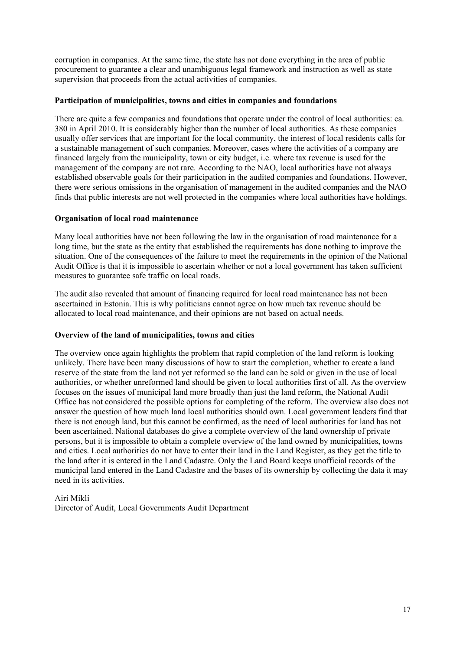corruption in companies. At the same time, the state has not done everything in the area of public procurement to guarantee a clear and unambiguous legal framework and instruction as well as state supervision that proceeds from the actual activities of companies.

#### **Participation of municipalities, towns and cities in companies and foundations**

There are quite a few companies and foundations that operate under the control of local authorities: ca. 380 in April 2010. It is considerably higher than the number of local authorities. As these companies usually offer services that are important for the local community, the interest of local residents calls for a sustainable management of such companies. Moreover, cases where the activities of a company are financed largely from the municipality, town or city budget, i.e. where tax revenue is used for the management of the company are not rare. According to the NAO, local authorities have not always established observable goals for their participation in the audited companies and foundations. However, there were serious omissions in the organisation of management in the audited companies and the NAO finds that public interests are not well protected in the companies where local authorities have holdings.

#### **Organisation of local road maintenance**

Many local authorities have not been following the law in the organisation of road maintenance for a long time, but the state as the entity that established the requirements has done nothing to improve the situation. One of the consequences of the failure to meet the requirements in the opinion of the National Audit Office is that it is impossible to ascertain whether or not a local government has taken sufficient measures to guarantee safe traffic on local roads.

The audit also revealed that amount of financing required for local road maintenance has not been ascertained in Estonia. This is why politicians cannot agree on how much tax revenue should be allocated to local road maintenance, and their opinions are not based on actual needs.

#### **Overview of the land of municipalities, towns and cities**

The overview once again highlights the problem that rapid completion of the land reform is looking unlikely. There have been many discussions of how to start the completion, whether to create a land reserve of the state from the land not yet reformed so the land can be sold or given in the use of local authorities, or whether unreformed land should be given to local authorities first of all. As the overview focuses on the issues of municipal land more broadly than just the land reform, the National Audit Office has not considered the possible options for completing of the reform. The overview also does not answer the question of how much land local authorities should own. Local government leaders find that there is not enough land, but this cannot be confirmed, as the need of local authorities for land has not been ascertained. National databases do give a complete overview of the land ownership of private persons, but it is impossible to obtain a complete overview of the land owned by municipalities, towns and cities. Local authorities do not have to enter their land in the Land Register, as they get the title to the land after it is entered in the Land Cadastre. Only the Land Board keeps unofficial records of the municipal land entered in the Land Cadastre and the bases of its ownership by collecting the data it may need in its activities.

#### Airi Mikli

Director of Audit, Local Governments Audit Department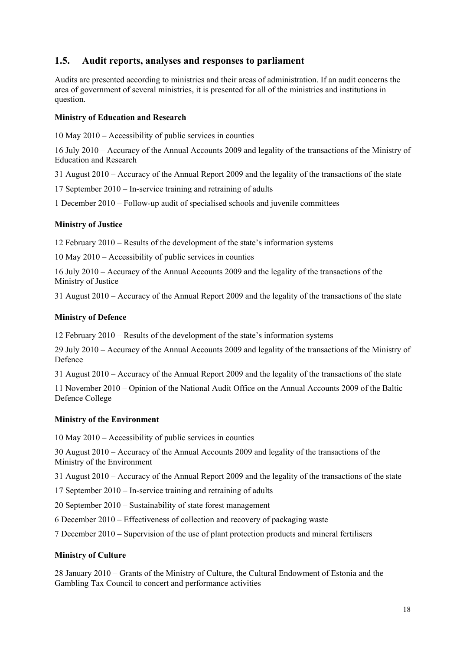### <span id="page-17-0"></span>**1.5. Audit reports, analyses and responses to parliament**

Audits are presented according to ministries and their areas of administration. If an audit concerns the area of government of several ministries, it is presented for all of the ministries and institutions in question.

#### **Ministry of Education and Research**

10 May 2010 – Accessibility of public services in counties

16 July 2010 – Accuracy of the Annual Accounts 2009 and legality of the transactions of the Ministry of Education and Research

31 August 2010 – Accuracy of the Annual Report 2009 and the legality of the transactions of the state

17 September 2010 – In-service training and retraining of adults

1 December 2010 – Follow-up audit of specialised schools and juvenile committees

#### **Ministry of Justice**

12 February 2010 – Results of the development of the state"s information systems

10 May 2010 – Accessibility of public services in counties

16 July 2010 – Accuracy of the Annual Accounts 2009 and the legality of the transactions of the Ministry of Justice

31 August 2010 – Accuracy of the Annual Report 2009 and the legality of the transactions of the state

#### **Ministry of Defence**

12 February 2010 – Results of the development of the state"s information systems

29 July 2010 – Accuracy of the Annual Accounts 2009 and legality of the transactions of the Ministry of Defence

31 August 2010 – Accuracy of the Annual Report 2009 and the legality of the transactions of the state

11 November 2010 – Opinion of the National Audit Office on the Annual Accounts 2009 of the Baltic Defence College

#### **Ministry of the Environment**

10 May 2010 – Accessibility of public services in counties

30 August 2010 – Accuracy of the Annual Accounts 2009 and legality of the transactions of the Ministry of the Environment

31 August 2010 – Accuracy of the Annual Report 2009 and the legality of the transactions of the state

17 September 2010 – In-service training and retraining of adults

20 September 2010 – Sustainability of state forest management

6 December 2010 – Effectiveness of collection and recovery of packaging waste

7 December 2010 – Supervision of the use of plant protection products and mineral fertilisers

#### **Ministry of Culture**

28 January 2010 – Grants of the Ministry of Culture, the Cultural Endowment of Estonia and the Gambling Tax Council to concert and performance activities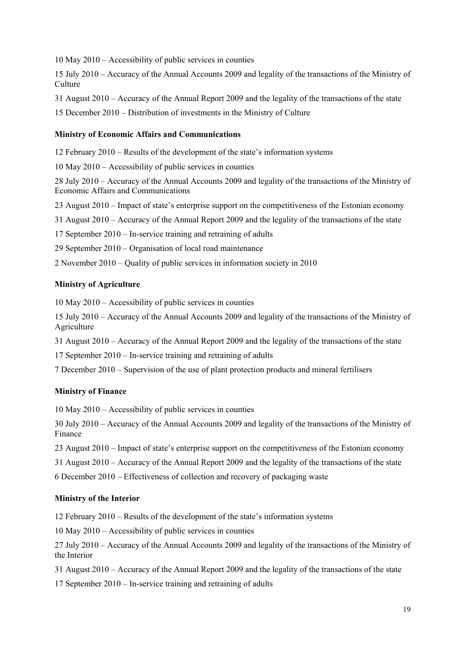10 May 2010 – Accessibility of public services in counties

15 July 2010 – Accuracy of the Annual Accounts 2009 and legality of the transactions of the Ministry of **Culture** 

31 August 2010 – Accuracy of the Annual Report 2009 and the legality of the transactions of the state

15 December 2010 – Distribution of investments in the Ministry of Culture

#### **Ministry of Economic Affairs and Communications**

12 February 2010 – Results of the development of the state"s information systems

10 May 2010 – Accessibility of public services in counties

28 July 2010 – Accuracy of the Annual Accounts 2009 and legality of the transactions of the Ministry of Economic Affairs and Communications

23 August 2010 – Impact of state's enterprise support on the competitiveness of the Estonian economy

31 August 2010 – Accuracy of the Annual Report 2009 and the legality of the transactions of the state

17 September 2010 – In-service training and retraining of adults

29 September 2010 – Organisation of local road maintenance

2 November 2010 – Quality of public services in information society in 2010

#### **Ministry of Agriculture**

10 May 2010 – Accessibility of public services in counties

15 July 2010 – Accuracy of the Annual Accounts 2009 and legality of the transactions of the Ministry of Agriculture

31 August 2010 – Accuracy of the Annual Report 2009 and the legality of the transactions of the state

17 September 2010 – In-service training and retraining of adults

7 December 2010 – Supervision of the use of plant protection products and mineral fertilisers

#### **Ministry of Finance**

10 May 2010 – Accessibility of public services in counties

30 July 2010 – Accuracy of the Annual Accounts 2009 and legality of the transactions of the Ministry of Finance

23 August 2010 – Impact of state"s enterprise support on the competitiveness of the Estonian economy

31 August 2010 – Accuracy of the Annual Report 2009 and the legality of the transactions of the state

6 December 2010 – Effectiveness of collection and recovery of packaging waste

#### **Ministry of the Interior**

12 February 2010 – Results of the development of the state"s information systems

10 May 2010 – Accessibility of public services in counties

27 July 2010 – Accuracy of the Annual Accounts 2009 and legality of the transactions of the Ministry of the Interior

- 31 August 2010 Accuracy of the Annual Report 2009 and the legality of the transactions of the state
- 17 September 2010 In-service training and retraining of adults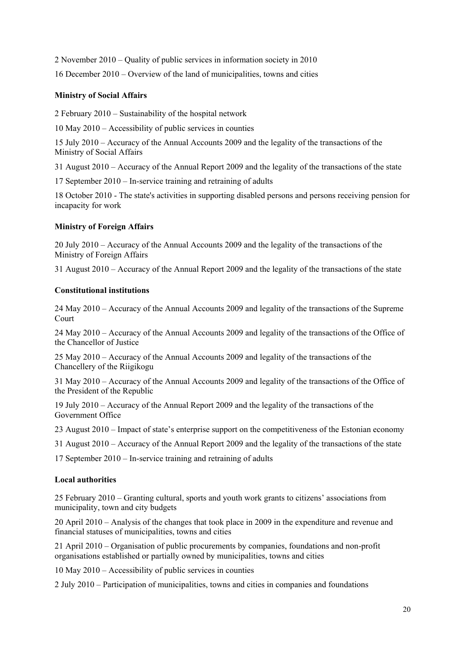2 November 2010 – Quality of public services in information society in 2010 16 December 2010 – Overview of the land of municipalities, towns and cities

#### **Ministry of Social Affairs**

2 February 2010 – Sustainability of the hospital network

10 May 2010 – Accessibility of public services in counties

15 July 2010 – Accuracy of the Annual Accounts 2009 and the legality of the transactions of the Ministry of Social Affairs

31 August 2010 – Accuracy of the Annual Report 2009 and the legality of the transactions of the state

17 September 2010 – In-service training and retraining of adults

18 October 2010 - The state's activities in supporting disabled persons and persons receiving pension for incapacity for work

#### **Ministry of Foreign Affairs**

20 July 2010 – Accuracy of the Annual Accounts 2009 and the legality of the transactions of the Ministry of Foreign Affairs

31 August 2010 – Accuracy of the Annual Report 2009 and the legality of the transactions of the state

#### **Constitutional institutions**

24 May 2010 – Accuracy of the Annual Accounts 2009 and legality of the transactions of the Supreme Court

24 May 2010 – Accuracy of the Annual Accounts 2009 and legality of the transactions of the Office of the Chancellor of Justice

25 May 2010 – Accuracy of the Annual Accounts 2009 and legality of the transactions of the Chancellery of the Riigikogu

31 May 2010 – Accuracy of the Annual Accounts 2009 and legality of the transactions of the Office of the President of the Republic

19 July 2010 – Accuracy of the Annual Report 2009 and the legality of the transactions of the Government Office

23 August 2010 – Impact of state"s enterprise support on the competitiveness of the Estonian economy

31 August 2010 – Accuracy of the Annual Report 2009 and the legality of the transactions of the state

17 September 2010 – In-service training and retraining of adults

#### **Local authorities**

25 February 2010 – Granting cultural, sports and youth work grants to citizens" associations from municipality, town and city budgets

20 April 2010 – Analysis of the changes that took place in 2009 in the expenditure and revenue and financial statuses of municipalities, towns and cities

21 April 2010 – Organisation of public procurements by companies, foundations and non-profit organisations established or partially owned by municipalities, towns and cities

10 May 2010 – Accessibility of public services in counties

2 July 2010 – Participation of municipalities, towns and cities in companies and foundations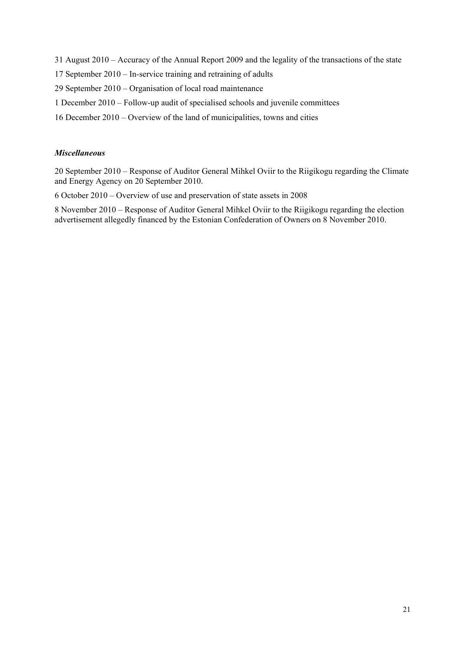31 August 2010 – Accuracy of the Annual Report 2009 and the legality of the transactions of the state

17 September 2010 – In-service training and retraining of adults

29 September 2010 – Organisation of local road maintenance

- 1 December 2010 Follow-up audit of specialised schools and juvenile committees
- 16 December 2010 Overview of the land of municipalities, towns and cities

#### *Miscellaneous*

20 September 2010 – Response of Auditor General Mihkel Oviir to the Riigikogu regarding the Climate and Energy Agency on 20 September 2010.

6 October 2010 – Overview of use and preservation of state assets in 2008

8 November 2010 – Response of Auditor General Mihkel Oviir to the Riigikogu regarding the election advertisement allegedly financed by the Estonian Confederation of Owners on 8 November 2010.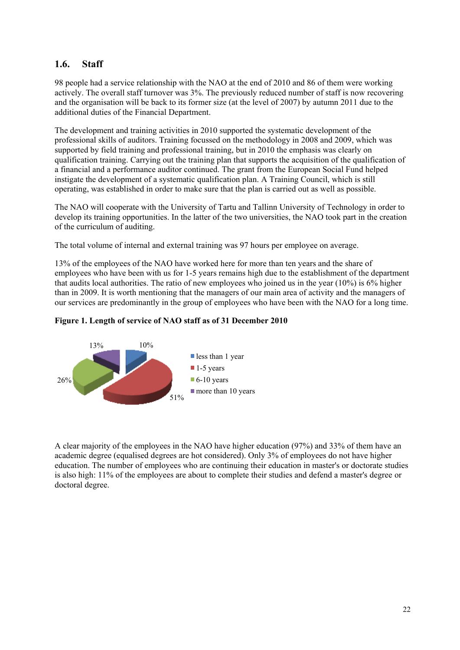### <span id="page-21-0"></span>**1.6. Staff**

98 people had a service relationship with the NAO at the end of 2010 and 86 of them were working actively. The overall staff turnover was 3%. The previously reduced number of staff is now recovering and the organisation will be back to its former size (at the level of 2007) by autumn 2011 due to the additional duties of the Financial Department.

The development and training activities in 2010 supported the systematic development of the professional skills of auditors. Training focussed on the methodology in 2008 and 2009, which was supported by field training and professional training, but in 2010 the emphasis was clearly on qualification training. Carrying out the training plan that supports the acquisition of the qualification of a financial and a performance auditor continued. The grant from the European Social Fund helped instigate the development of a systematic qualification plan. A Training Council, which is still operating, was established in order to make sure that the plan is carried out as well as possible.

The NAO will cooperate with the University of Tartu and Tallinn University of Technology in order to develop its training opportunities. In the latter of the two universities, the NAO took part in the creation of the curriculum of auditing.

The total volume of internal and external training was 97 hours per employee on average.

13% of the employees of the NAO have worked here for more than ten years and the share of employees who have been with us for 1-5 years remains high due to the establishment of the department that audits local authorities. The ratio of new employees who joined us in the year (10%) is 6% higher than in 2009. It is worth mentioning that the managers of our main area of activity and the managers of our services are predominantly in the group of employees who have been with the NAO for a long time.





A clear majority of the employees in the NAO have higher education (97%) and 33% of them have an academic degree (equalised degrees are hot considered). Only 3% of employees do not have higher education. The number of employees who are continuing their education in master's or doctorate studies is also high: 11% of the employees are about to complete their studies and defend a master's degree or doctoral degree.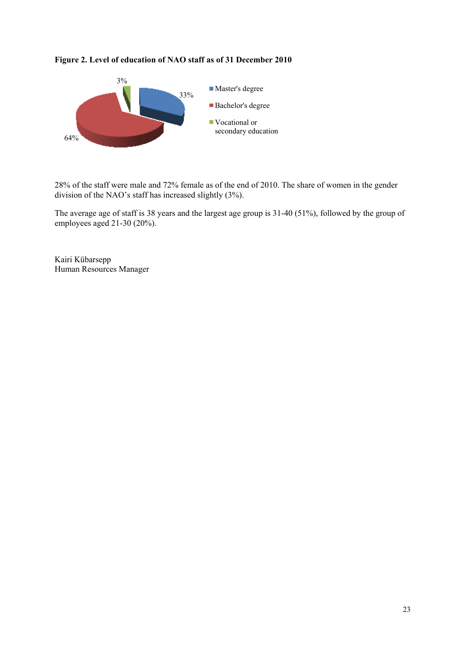#### **Figure 2. Level of education of NAO staff as of 31 December 2010**



28% of the staff were male and 72% female as of the end of 2010. The share of women in the gender division of the NAO"s staff has increased slightly (3%).

The average age of staff is 38 years and the largest age group is 31-40 (51%), followed by the group of employees aged 21-30 (20%).

Kairi Kübarsepp Human Resources Manager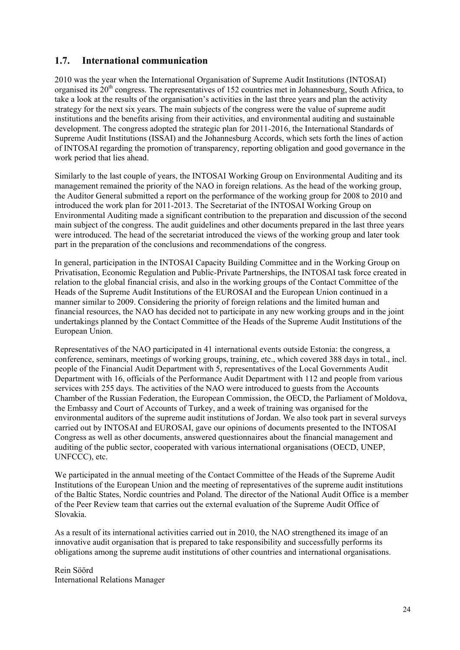### <span id="page-23-0"></span>**1.7. International communication**

2010 was the year when the International Organisation of Supreme Audit Institutions (INTOSAI) organised its  $20<sup>th</sup>$  congress. The representatives of 152 countries met in Johannesburg, South Africa, to take a look at the results of the organisation"s activities in the last three years and plan the activity strategy for the next six years. The main subjects of the congress were the value of supreme audit institutions and the benefits arising from their activities, and environmental auditing and sustainable development. The congress adopted the strategic plan for 2011-2016, the International Standards of Supreme Audit Institutions (ISSAI) and the Johannesburg Accords, which sets forth the lines of action of INTOSAI regarding the promotion of transparency, reporting obligation and good governance in the work period that lies ahead.

Similarly to the last couple of years, the INTOSAI Working Group on Environmental Auditing and its management remained the priority of the NAO in foreign relations. As the head of the working group, the Auditor General submitted a report on the performance of the working group for 2008 to 2010 and introduced the work plan for 2011-2013. The Secretariat of the INTOSAI Working Group on Environmental Auditing made a significant contribution to the preparation and discussion of the second main subject of the congress. The audit guidelines and other documents prepared in the last three years were introduced. The head of the secretariat introduced the views of the working group and later took part in the preparation of the conclusions and recommendations of the congress.

In general, participation in the INTOSAI Capacity Building Committee and in the Working Group on Privatisation, Economic Regulation and Public-Private Partnerships, the INTOSAI task force created in relation to the global financial crisis, and also in the working groups of the Contact Committee of the Heads of the Supreme Audit Institutions of the EUROSAI and the European Union continued in a manner similar to 2009. Considering the priority of foreign relations and the limited human and financial resources, the NAO has decided not to participate in any new working groups and in the joint undertakings planned by the Contact Committee of the Heads of the Supreme Audit Institutions of the European Union.

Representatives of the NAO participated in 41 international events outside Estonia: the congress, a conference, seminars, meetings of working groups, training, etc., which covered 388 days in total., incl. people of the Financial Audit Department with 5, representatives of the Local Governments Audit Department with 16, officials of the Performance Audit Department with 112 and people from various services with 255 days. The activities of the NAO were introduced to guests from the Accounts Chamber of the Russian Federation, the European Commission, the OECD, the Parliament of Moldova, the Embassy and Court of Accounts of Turkey, and a week of training was organised for the environmental auditors of the supreme audit institutions of Jordan. We also took part in several surveys carried out by INTOSAI and EUROSAI, gave our opinions of documents presented to the INTOSAI Congress as well as other documents, answered questionnaires about the financial management and auditing of the public sector, cooperated with various international organisations (OECD, UNEP, UNFCCC), etc.

We participated in the annual meeting of the Contact Committee of the Heads of the Supreme Audit Institutions of the European Union and the meeting of representatives of the supreme audit institutions of the Baltic States, Nordic countries and Poland. The director of the National Audit Office is a member of the Peer Review team that carries out the external evaluation of the Supreme Audit Office of Slovakia.

As a result of its international activities carried out in 2010, the NAO strengthened its image of an innovative audit organisation that is prepared to take responsibility and successfully performs its obligations among the supreme audit institutions of other countries and international organisations.

Rein Söörd International Relations Manager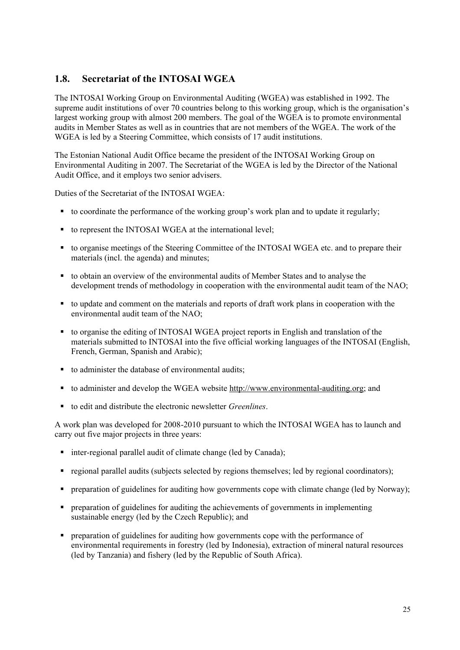### <span id="page-24-0"></span>**1.8. Secretariat of the INTOSAI WGEA**

The INTOSAI Working Group on Environmental Auditing (WGEA) was established in 1992. The supreme audit institutions of over 70 countries belong to this working group, which is the organisation's largest working group with almost 200 members. The goal of the WGEA is to promote environmental audits in Member States as well as in countries that are not members of the WGEA. The work of the WGEA is led by a Steering Committee, which consists of 17 audit institutions.

The Estonian National Audit Office became the president of the INTOSAI Working Group on Environmental Auditing in 2007. The Secretariat of the WGEA is led by the Director of the National Audit Office, and it employs two senior advisers.

Duties of the Secretariat of the INTOSAI WGEA:

- to coordinate the performance of the working group's work plan and to update it regularly;
- to represent the INTOSAI WGEA at the international level;
- to organise meetings of the Steering Committee of the INTOSAI WGEA etc. and to prepare their materials (incl. the agenda) and minutes;
- to obtain an overview of the environmental audits of Member States and to analyse the development trends of methodology in cooperation with the environmental audit team of the NAO;
- to update and comment on the materials and reports of draft work plans in cooperation with the environmental audit team of the NAO;
- to organise the editing of INTOSAI WGEA project reports in English and translation of the materials submitted to INTOSAI into the five official working languages of the INTOSAI (English, French, German, Spanish and Arabic);
- to administer the database of environmental audits;
- to administer and develop the WGEA website [http://www.environmental-auditing.org;](http://www.environmental-auditing.org/) and
- to edit and distribute the electronic newsletter *Greenlines*.

A work plan was developed for 2008-2010 pursuant to which the INTOSAI WGEA has to launch and carry out five major projects in three years:

- inter-regional parallel audit of climate change (led by Canada);
- regional parallel audits (subjects selected by regions themselves; led by regional coordinators);
- preparation of guidelines for auditing how governments cope with climate change (led by Norway);
- $\blacksquare$  preparation of guidelines for auditing the achievements of governments in implementing sustainable energy (led by the Czech Republic); and
- preparation of guidelines for auditing how governments cope with the performance of environmental requirements in forestry (led by Indonesia), extraction of mineral natural resources (led by Tanzania) and fishery (led by the Republic of South Africa).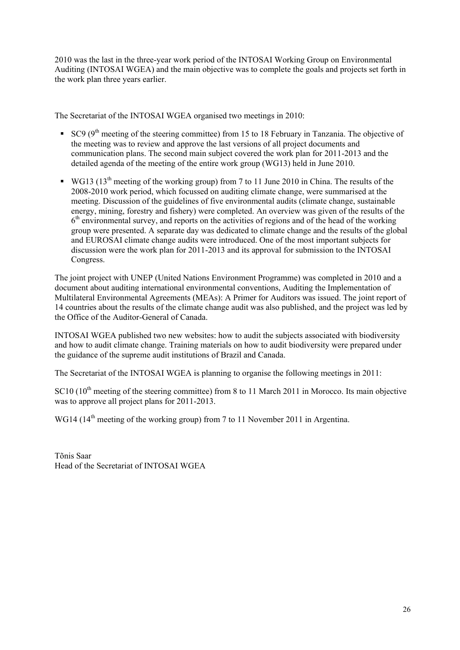2010 was the last in the three-year work period of the INTOSAI Working Group on Environmental Auditing (INTOSAI WGEA) and the main objective was to complete the goals and projects set forth in the work plan three years earlier.

The Secretariat of the INTOSAI WGEA organised two meetings in 2010:

- SC9 ( $9<sup>th</sup>$  meeting of the steering committee) from 15 to 18 February in Tanzania. The objective of the meeting was to review and approve the last versions of all project documents and communication plans. The second main subject covered the work plan for 2011-2013 and the detailed agenda of the meeting of the entire work group (WG13) held in June 2010.
- WG13  $(13<sup>th</sup> meeting of the working group) from 7 to 11 June 2010 in China. The results of the$ 2008-2010 work period, which focussed on auditing climate change, were summarised at the meeting. Discussion of the guidelines of five environmental audits (climate change, sustainable energy, mining, forestry and fishery) were completed. An overview was given of the results of the 6<sup>th</sup> environmental survey, and reports on the activities of regions and of the head of the working group were presented. A separate day was dedicated to climate change and the results of the global and EUROSAI climate change audits were introduced. One of the most important subjects for discussion were the work plan for 2011-2013 and its approval for submission to the INTOSAI Congress.

The joint project with UNEP (United Nations Environment Programme) was completed in 2010 and a document about auditing international environmental conventions, Auditing the Implementation of Multilateral Environmental Agreements (MEAs): A Primer for Auditors was issued. The joint report of 14 countries about the results of the climate change audit was also published, and the project was led by the Office of the Auditor-General of Canada.

INTOSAI WGEA published two new websites: how to audit the subjects associated with biodiversity and how to audit climate change. Training materials on how to audit biodiversity were prepared under the guidance of the supreme audit institutions of Brazil and Canada.

The Secretariat of the INTOSAI WGEA is planning to organise the following meetings in 2011:

 $SC10$  ( $10<sup>th</sup>$  meeting of the steering committee) from 8 to 11 March 2011 in Morocco. Its main objective was to approve all project plans for 2011-2013.

WG14 (14<sup>th</sup> meeting of the working group) from 7 to 11 November 2011 in Argentina.

Tõnis Saar Head of the Secretariat of INTOSAI WGEA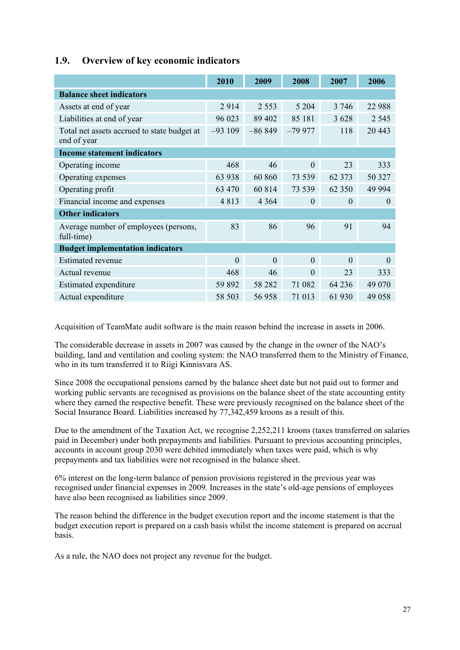|                                                            | 2010           | 2009           | 2008           | 2007     | 2006     |  |  |
|------------------------------------------------------------|----------------|----------------|----------------|----------|----------|--|--|
| <b>Balance sheet indicators</b>                            |                |                |                |          |          |  |  |
| Assets at end of year                                      | 2914           | 2 5 5 3        | 5 2 0 4        | 3 7 4 6  | 22 988   |  |  |
| Liabilities at end of year                                 | 96 023         | 89 402         | 85 181         | 3 6 2 8  | 2 5 4 5  |  |  |
| Total net assets accrued to state budget at<br>end of year | $-93109$       | $-86849$       | $-79977$       | 118      | 20 4 43  |  |  |
| <b>Income statement indicators</b>                         |                |                |                |          |          |  |  |
| Operating income                                           | 468            | 46             | $\theta$       | 23       | 333      |  |  |
| Operating expenses                                         | 63 938         | 60 860         | 73 539         | 62 373   | 50 327   |  |  |
| Operating profit                                           | 63 470         | 60 814         | 73 539         | 62 350   | 49 9 94  |  |  |
| Financial income and expenses                              | 4813           | 4 3 6 4        | $\theta$       | $\theta$ | $\theta$ |  |  |
| <b>Other indicators</b>                                    |                |                |                |          |          |  |  |
| Average number of employees (persons,<br>full-time)        | 83             | 86             | 96             | 91       | 94       |  |  |
| <b>Budget implementation indicators</b>                    |                |                |                |          |          |  |  |
| <b>Estimated revenue</b>                                   | $\overline{0}$ | $\overline{0}$ | $\theta$       | $\theta$ | $\theta$ |  |  |
| Actual revenue                                             | 468            | 46             | $\overline{0}$ | 23       | 333      |  |  |
| Estimated expenditure                                      | 59 892         | 58 28 2        | 71 082         | 64 236   | 49 070   |  |  |
| Actual expenditure                                         | 58 503         | 56958          | 71 013         | 61 930   | 49 058   |  |  |

### <span id="page-26-0"></span>**1.9. Overview of key economic indicators**

Acquisition of TeamMate audit software is the main reason behind the increase in assets in 2006.

The considerable decrease in assets in 2007 was caused by the change in the owner of the NAO"s building, land and ventilation and cooling system: the NAO transferred them to the Ministry of Finance, who in its turn transferred it to Riigi Kinnisvara AS.

Since 2008 the occupational pensions earned by the balance sheet date but not paid out to former and working public servants are recognised as provisions on the balance sheet of the state accounting entity where they earned the respective benefit. These were previously recognised on the balance sheet of the Social Insurance Board. Liabilities increased by 77,342,459 kroons as a result of this.

Due to the amendment of the Taxation Act, we recognise 2,252,211 kroons (taxes transferred on salaries paid in December) under both prepayments and liabilities. Pursuant to previous accounting principles, accounts in account group 2030 were debited immediately when taxes were paid, which is why prepayments and tax liabilities were not recognised in the balance sheet.

6% interest on the long-term balance of pension provisions registered in the previous year was recognised under financial expenses in 2009. Increases in the state"s old-age pensions of employees have also been recognised as liabilities since 2009.

The reason behind the difference in the budget execution report and the income statement is that the budget execution report is prepared on a cash basis whilst the income statement is prepared on accrual basis.

As a rule, the NAO does not project any revenue for the budget.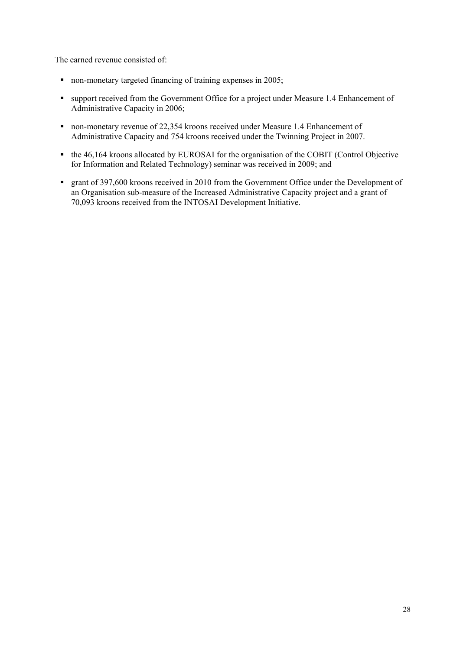The earned revenue consisted of:

- non-monetary targeted financing of training expenses in 2005;
- support received from the Government Office for a project under Measure 1.4 Enhancement of Administrative Capacity in 2006;
- non-monetary revenue of 22,354 kroons received under Measure 1.4 Enhancement of Administrative Capacity and 754 kroons received under the Twinning Project in 2007.
- the 46,164 kroons allocated by EUROSAI for the organisation of the COBIT (Control Objective for Information and Related Technology) seminar was received in 2009; and
- grant of 397,600 kroons received in 2010 from the Government Office under the Development of an Organisation sub-measure of the Increased Administrative Capacity project and a grant of 70,093 kroons received from the INTOSAI Development Initiative.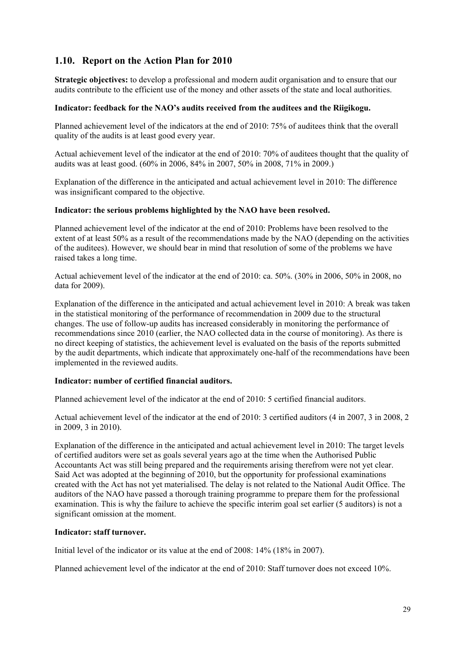### <span id="page-28-0"></span>**1.10. Report on the Action Plan for 2010**

**Strategic objectives:** to develop a professional and modern audit organisation and to ensure that our audits contribute to the efficient use of the money and other assets of the state and local authorities.

#### **Indicator: feedback for the NAO's audits received from the auditees and the Riigikogu.**

Planned achievement level of the indicators at the end of 2010: 75% of auditees think that the overall quality of the audits is at least good every year.

Actual achievement level of the indicator at the end of 2010: 70% of auditees thought that the quality of audits was at least good. (60% in 2006, 84% in 2007, 50% in 2008, 71% in 2009.)

Explanation of the difference in the anticipated and actual achievement level in 2010: The difference was insignificant compared to the objective.

#### **Indicator: the serious problems highlighted by the NAO have been resolved.**

Planned achievement level of the indicator at the end of 2010: Problems have been resolved to the extent of at least 50% as a result of the recommendations made by the NAO (depending on the activities of the auditees). However, we should bear in mind that resolution of some of the problems we have raised takes a long time.

Actual achievement level of the indicator at the end of 2010: ca. 50%. (30% in 2006, 50% in 2008, no data for 2009).

Explanation of the difference in the anticipated and actual achievement level in 2010: A break was taken in the statistical monitoring of the performance of recommendation in 2009 due to the structural changes. The use of follow-up audits has increased considerably in monitoring the performance of recommendations since 2010 (earlier, the NAO collected data in the course of monitoring). As there is no direct keeping of statistics, the achievement level is evaluated on the basis of the reports submitted by the audit departments, which indicate that approximately one-half of the recommendations have been implemented in the reviewed audits.

#### **Indicator: number of certified financial auditors.**

Planned achievement level of the indicator at the end of 2010: 5 certified financial auditors.

Actual achievement level of the indicator at the end of 2010: 3 certified auditors (4 in 2007, 3 in 2008, 2 in 2009, 3 in 2010).

Explanation of the difference in the anticipated and actual achievement level in 2010: The target levels of certified auditors were set as goals several years ago at the time when the Authorised Public Accountants Act was still being prepared and the requirements arising therefrom were not yet clear. Said Act was adopted at the beginning of 2010, but the opportunity for professional examinations created with the Act has not yet materialised. The delay is not related to the National Audit Office. The auditors of the NAO have passed a thorough training programme to prepare them for the professional examination. This is why the failure to achieve the specific interim goal set earlier (5 auditors) is not a significant omission at the moment.

#### **Indicator: staff turnover.**

Initial level of the indicator or its value at the end of 2008: 14% (18% in 2007).

Planned achievement level of the indicator at the end of 2010: Staff turnover does not exceed 10%.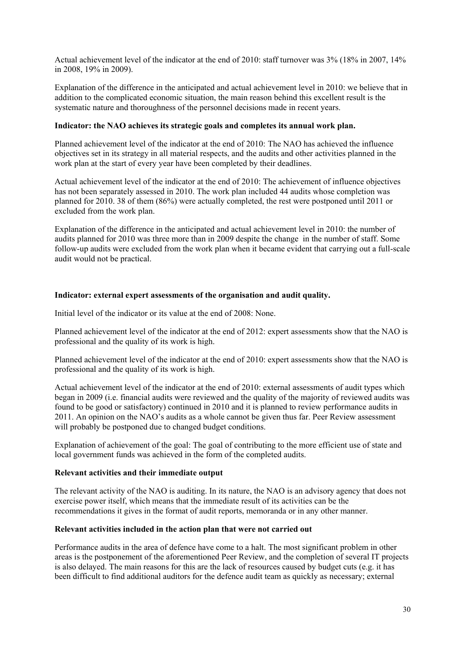Actual achievement level of the indicator at the end of 2010: staff turnover was 3% (18% in 2007, 14% in 2008, 19% in 2009).

Explanation of the difference in the anticipated and actual achievement level in 2010: we believe that in addition to the complicated economic situation, the main reason behind this excellent result is the systematic nature and thoroughness of the personnel decisions made in recent years.

#### **Indicator: the NAO achieves its strategic goals and completes its annual work plan.**

Planned achievement level of the indicator at the end of 2010: The NAO has achieved the influence objectives set in its strategy in all material respects, and the audits and other activities planned in the work plan at the start of every year have been completed by their deadlines.

Actual achievement level of the indicator at the end of 2010: The achievement of influence objectives has not been separately assessed in 2010. The work plan included 44 audits whose completion was planned for 2010. 38 of them (86%) were actually completed, the rest were postponed until 2011 or excluded from the work plan.

Explanation of the difference in the anticipated and actual achievement level in 2010: the number of audits planned for 2010 was three more than in 2009 despite the change in the number of staff. Some follow-up audits were excluded from the work plan when it became evident that carrying out a full-scale audit would not be practical.

#### **Indicator: external expert assessments of the organisation and audit quality.**

Initial level of the indicator or its value at the end of 2008: None.

Planned achievement level of the indicator at the end of 2012: expert assessments show that the NAO is professional and the quality of its work is high.

Planned achievement level of the indicator at the end of 2010: expert assessments show that the NAO is professional and the quality of its work is high.

Actual achievement level of the indicator at the end of 2010: external assessments of audit types which began in 2009 (i.e. financial audits were reviewed and the quality of the majority of reviewed audits was found to be good or satisfactory) continued in 2010 and it is planned to review performance audits in 2011. An opinion on the NAO"s audits as a whole cannot be given thus far. Peer Review assessment will probably be postponed due to changed budget conditions.

Explanation of achievement of the goal: The goal of contributing to the more efficient use of state and local government funds was achieved in the form of the completed audits.

#### **Relevant activities and their immediate output**

The relevant activity of the NAO is auditing. In its nature, the NAO is an advisory agency that does not exercise power itself, which means that the immediate result of its activities can be the recommendations it gives in the format of audit reports, memoranda or in any other manner.

#### **Relevant activities included in the action plan that were not carried out**

Performance audits in the area of defence have come to a halt. The most significant problem in other areas is the postponement of the aforementioned Peer Review, and the completion of several IT projects is also delayed. The main reasons for this are the lack of resources caused by budget cuts (e.g. it has been difficult to find additional auditors for the defence audit team as quickly as necessary; external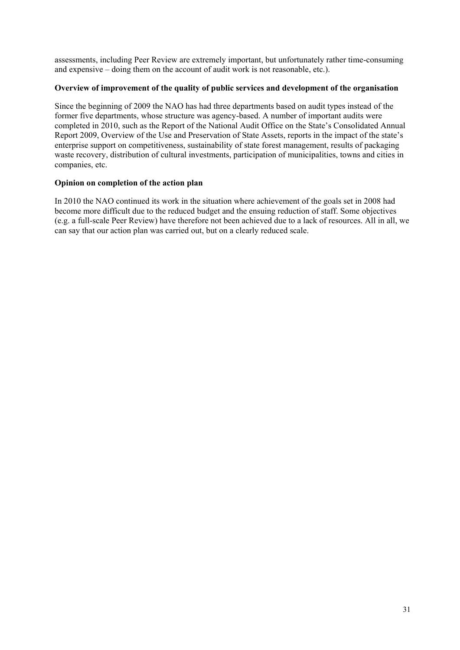assessments, including Peer Review are extremely important, but unfortunately rather time-consuming and expensive – doing them on the account of audit work is not reasonable, etc.).

#### **Overview of improvement of the quality of public services and development of the organisation**

Since the beginning of 2009 the NAO has had three departments based on audit types instead of the former five departments, whose structure was agency-based. A number of important audits were completed in 2010, such as the Report of the National Audit Office on the State"s Consolidated Annual Report 2009, Overview of the Use and Preservation of State Assets, reports in the impact of the state"s enterprise support on competitiveness, sustainability of state forest management, results of packaging waste recovery, distribution of cultural investments, participation of municipalities, towns and cities in companies, etc.

#### **Opinion on completion of the action plan**

In 2010 the NAO continued its work in the situation where achievement of the goals set in 2008 had become more difficult due to the reduced budget and the ensuing reduction of staff. Some objectives (e.g. a full-scale Peer Review) have therefore not been achieved due to a lack of resources. All in all, we can say that our action plan was carried out, but on a clearly reduced scale.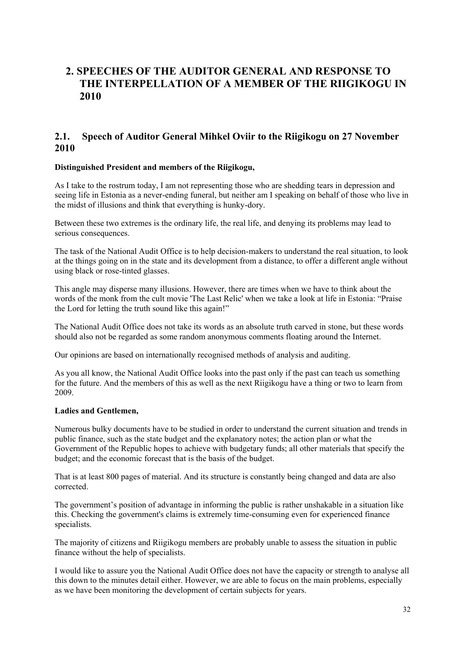## <span id="page-31-0"></span>**2. SPEECHES OF THE AUDITOR GENERAL AND RESPONSE TO THE INTERPELLATION OF A MEMBER OF THE RIIGIKOGU IN 2010**

### <span id="page-31-1"></span>**2.1. Speech of Auditor General Mihkel Oviir to the Riigikogu on 27 November 2010**

#### **Distinguished President and members of the Riigikogu,**

As I take to the rostrum today, I am not representing those who are shedding tears in depression and seeing life in Estonia as a never-ending funeral, but neither am I speaking on behalf of those who live in the midst of illusions and think that everything is hunky-dory.

Between these two extremes is the ordinary life, the real life, and denying its problems may lead to serious consequences.

The task of the National Audit Office is to help decision-makers to understand the real situation, to look at the things going on in the state and its development from a distance, to offer a different angle without using black or rose-tinted glasses.

This angle may disperse many illusions. However, there are times when we have to think about the words of the monk from the cult movie 'The Last Relic' when we take a look at life in Estonia: "Praise the Lord for letting the truth sound like this again!"

The National Audit Office does not take its words as an absolute truth carved in stone, but these words should also not be regarded as some random anonymous comments floating around the Internet.

Our opinions are based on internationally recognised methods of analysis and auditing.

As you all know, the National Audit Office looks into the past only if the past can teach us something for the future. And the members of this as well as the next Riigikogu have a thing or two to learn from 2009.

#### **Ladies and Gentlemen,**

Numerous bulky documents have to be studied in order to understand the current situation and trends in public finance, such as the state budget and the explanatory notes; the action plan or what the Government of the Republic hopes to achieve with budgetary funds; all other materials that specify the budget; and the economic forecast that is the basis of the budget.

That is at least 800 pages of material. And its structure is constantly being changed and data are also corrected.

The government"s position of advantage in informing the public is rather unshakable in a situation like this. Checking the government's claims is extremely time-consuming even for experienced finance specialists.

The majority of citizens and Riigikogu members are probably unable to assess the situation in public finance without the help of specialists.

I would like to assure you the National Audit Office does not have the capacity or strength to analyse all this down to the minutes detail either. However, we are able to focus on the main problems, especially as we have been monitoring the development of certain subjects for years.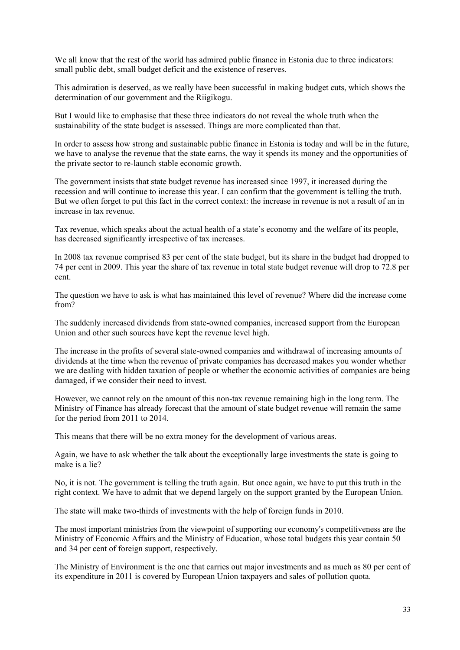We all know that the rest of the world has admired public finance in Estonia due to three indicators: small public debt, small budget deficit and the existence of reserves.

This admiration is deserved, as we really have been successful in making budget cuts, which shows the determination of our government and the Riigikogu.

But I would like to emphasise that these three indicators do not reveal the whole truth when the sustainability of the state budget is assessed. Things are more complicated than that.

In order to assess how strong and sustainable public finance in Estonia is today and will be in the future, we have to analyse the revenue that the state earns, the way it spends its money and the opportunities of the private sector to re-launch stable economic growth.

The government insists that state budget revenue has increased since 1997, it increased during the recession and will continue to increase this year. I can confirm that the government is telling the truth. But we often forget to put this fact in the correct context: the increase in revenue is not a result of an in increase in tax revenue.

Tax revenue, which speaks about the actual health of a state"s economy and the welfare of its people, has decreased significantly irrespective of tax increases.

In 2008 tax revenue comprised 83 per cent of the state budget, but its share in the budget had dropped to 74 per cent in 2009. This year the share of tax revenue in total state budget revenue will drop to 72.8 per cent.

The question we have to ask is what has maintained this level of revenue? Where did the increase come from?

The suddenly increased dividends from state-owned companies, increased support from the European Union and other such sources have kept the revenue level high.

The increase in the profits of several state-owned companies and withdrawal of increasing amounts of dividends at the time when the revenue of private companies has decreased makes you wonder whether we are dealing with hidden taxation of people or whether the economic activities of companies are being damaged, if we consider their need to invest.

However, we cannot rely on the amount of this non-tax revenue remaining high in the long term. The Ministry of Finance has already forecast that the amount of state budget revenue will remain the same for the period from 2011 to 2014.

This means that there will be no extra money for the development of various areas.

Again, we have to ask whether the talk about the exceptionally large investments the state is going to make is a lie?

No, it is not. The government is telling the truth again. But once again, we have to put this truth in the right context. We have to admit that we depend largely on the support granted by the European Union.

The state will make two-thirds of investments with the help of foreign funds in 2010.

The most important ministries from the viewpoint of supporting our economy's competitiveness are the Ministry of Economic Affairs and the Ministry of Education, whose total budgets this year contain 50 and 34 per cent of foreign support, respectively.

The Ministry of Environment is the one that carries out major investments and as much as 80 per cent of its expenditure in 2011 is covered by European Union taxpayers and sales of pollution quota.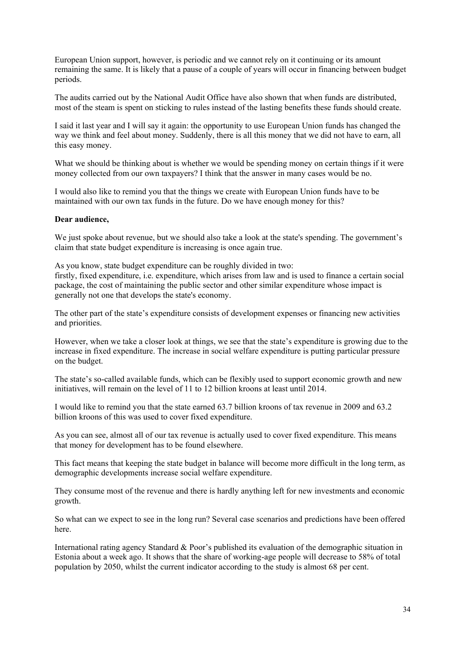European Union support, however, is periodic and we cannot rely on it continuing or its amount remaining the same. It is likely that a pause of a couple of years will occur in financing between budget periods.

The audits carried out by the National Audit Office have also shown that when funds are distributed, most of the steam is spent on sticking to rules instead of the lasting benefits these funds should create.

I said it last year and I will say it again: the opportunity to use European Union funds has changed the way we think and feel about money. Suddenly, there is all this money that we did not have to earn, all this easy money.

What we should be thinking about is whether we would be spending money on certain things if it were money collected from our own taxpayers? I think that the answer in many cases would be no.

I would also like to remind you that the things we create with European Union funds have to be maintained with our own tax funds in the future. Do we have enough money for this?

#### **Dear audience,**

We just spoke about revenue, but we should also take a look at the state's spending. The government's claim that state budget expenditure is increasing is once again true.

As you know, state budget expenditure can be roughly divided in two: firstly, fixed expenditure, i.e. expenditure, which arises from law and is used to finance a certain social package, the cost of maintaining the public sector and other similar expenditure whose impact is generally not one that develops the state's economy.

The other part of the state's expenditure consists of development expenses or financing new activities and priorities.

However, when we take a closer look at things, we see that the state"s expenditure is growing due to the increase in fixed expenditure. The increase in social welfare expenditure is putting particular pressure on the budget.

The state"s so-called available funds, which can be flexibly used to support economic growth and new initiatives, will remain on the level of 11 to 12 billion kroons at least until 2014.

I would like to remind you that the state earned 63.7 billion kroons of tax revenue in 2009 and 63.2 billion kroons of this was used to cover fixed expenditure.

As you can see, almost all of our tax revenue is actually used to cover fixed expenditure. This means that money for development has to be found elsewhere.

This fact means that keeping the state budget in balance will become more difficult in the long term, as demographic developments increase social welfare expenditure.

They consume most of the revenue and there is hardly anything left for new investments and economic growth.

So what can we expect to see in the long run? Several case scenarios and predictions have been offered here.

International rating agency Standard & Poor's published its evaluation of the demographic situation in Estonia about a week ago. It shows that the share of working-age people will decrease to 58% of total population by 2050, whilst the current indicator according to the study is almost 68 per cent.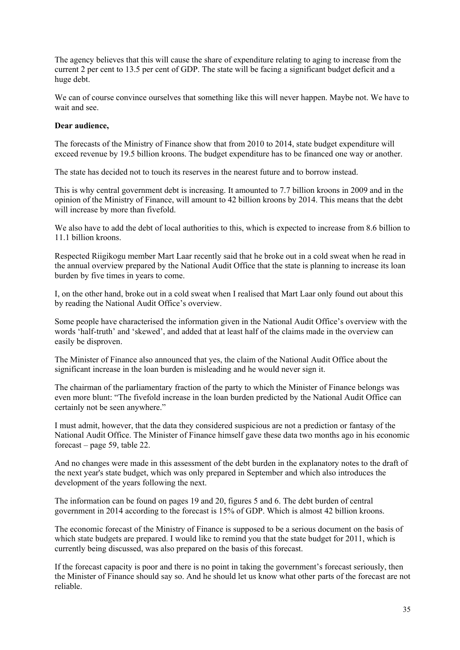The agency believes that this will cause the share of expenditure relating to aging to increase from the current 2 per cent to 13.5 per cent of GDP. The state will be facing a significant budget deficit and a huge debt.

We can of course convince ourselves that something like this will never happen. Maybe not. We have to wait and see.

#### **Dear audience,**

The forecasts of the Ministry of Finance show that from 2010 to 2014, state budget expenditure will exceed revenue by 19.5 billion kroons. The budget expenditure has to be financed one way or another.

The state has decided not to touch its reserves in the nearest future and to borrow instead.

This is why central government debt is increasing. It amounted to 7.7 billion kroons in 2009 and in the opinion of the Ministry of Finance, will amount to 42 billion kroons by 2014. This means that the debt will increase by more than fivefold.

We also have to add the debt of local authorities to this, which is expected to increase from 8.6 billion to 11.1 billion kroons.

Respected Riigikogu member Mart Laar recently said that he broke out in a cold sweat when he read in the annual overview prepared by the National Audit Office that the state is planning to increase its loan burden by five times in years to come.

I, on the other hand, broke out in a cold sweat when I realised that Mart Laar only found out about this by reading the National Audit Office"s overview.

Some people have characterised the information given in the National Audit Office"s overview with the words 'half-truth' and 'skewed', and added that at least half of the claims made in the overview can easily be disproven.

The Minister of Finance also announced that yes, the claim of the National Audit Office about the significant increase in the loan burden is misleading and he would never sign it.

The chairman of the parliamentary fraction of the party to which the Minister of Finance belongs was even more blunt: "The fivefold increase in the loan burden predicted by the National Audit Office can certainly not be seen anywhere."

I must admit, however, that the data they considered suspicious are not a prediction or fantasy of the National Audit Office. The Minister of Finance himself gave these data two months ago in his economic forecast – page 59, table 22.

And no changes were made in this assessment of the debt burden in the explanatory notes to the draft of the next year's state budget, which was only prepared in September and which also introduces the development of the years following the next.

The information can be found on pages 19 and 20, figures 5 and 6. The debt burden of central government in 2014 according to the forecast is 15% of GDP. Which is almost 42 billion kroons.

The economic forecast of the Ministry of Finance is supposed to be a serious document on the basis of which state budgets are prepared. I would like to remind you that the state budget for 2011, which is currently being discussed, was also prepared on the basis of this forecast.

If the forecast capacity is poor and there is no point in taking the government's forecast seriously, then the Minister of Finance should say so. And he should let us know what other parts of the forecast are not reliable.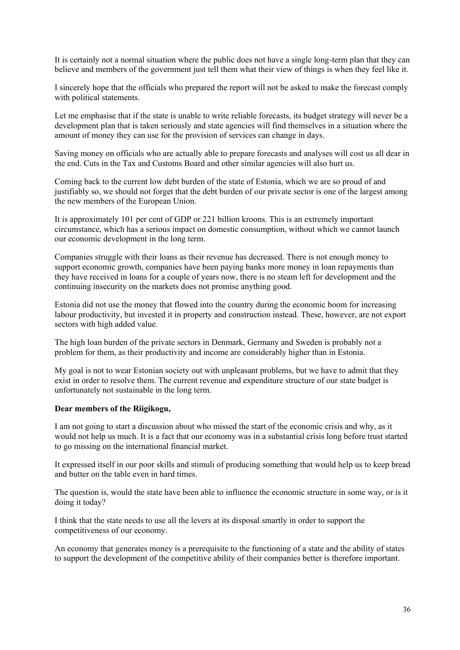It is certainly not a normal situation where the public does not have a single long-term plan that they can believe and members of the government just tell them what their view of things is when they feel like it.

I sincerely hope that the officials who prepared the report will not be asked to make the forecast comply with political statements.

Let me emphasise that if the state is unable to write reliable forecasts, its budget strategy will never be a development plan that is taken seriously and state agencies will find themselves in a situation where the amount of money they can use for the provision of services can change in days.

Saving money on officials who are actually able to prepare forecasts and analyses will cost us all dear in the end. Cuts in the Tax and Customs Board and other similar agencies will also hurt us.

Coming back to the current low debt burden of the state of Estonia, which we are so proud of and justifiably so, we should not forget that the debt burden of our private sector is one of the largest among the new members of the European Union.

It is approximately 101 per cent of GDP or 221 billion kroons. This is an extremely important circumstance, which has a serious impact on domestic consumption, without which we cannot launch our economic development in the long term.

Companies struggle with their loans as their revenue has decreased. There is not enough money to support economic growth, companies have been paying banks more money in loan repayments than they have received in loans for a couple of years now, there is no steam left for development and the continuing insecurity on the markets does not promise anything good.

Estonia did not use the money that flowed into the country during the economic boom for increasing labour productivity, but invested it in property and construction instead. These, however, are not export sectors with high added value.

The high loan burden of the private sectors in Denmark, Germany and Sweden is probably not a problem for them, as their productivity and income are considerably higher than in Estonia.

My goal is not to wear Estonian society out with unpleasant problems, but we have to admit that they exist in order to resolve them. The current revenue and expenditure structure of our state budget is unfortunately not sustainable in the long term.

#### **Dear members of the Riigikogu,**

I am not going to start a discussion about who missed the start of the economic crisis and why, as it would not help us much. It is a fact that our economy was in a substantial crisis long before trust started to go missing on the international financial market.

It expressed itself in our poor skills and stimuli of producing something that would help us to keep bread and butter on the table even in hard times.

The question is, would the state have been able to influence the economic structure in some way, or is it doing it today?

I think that the state needs to use all the levers at its disposal smartly in order to support the competitiveness of our economy.

An economy that generates money is a prerequisite to the functioning of a state and the ability of states to support the development of the competitive ability of their companies better is therefore important.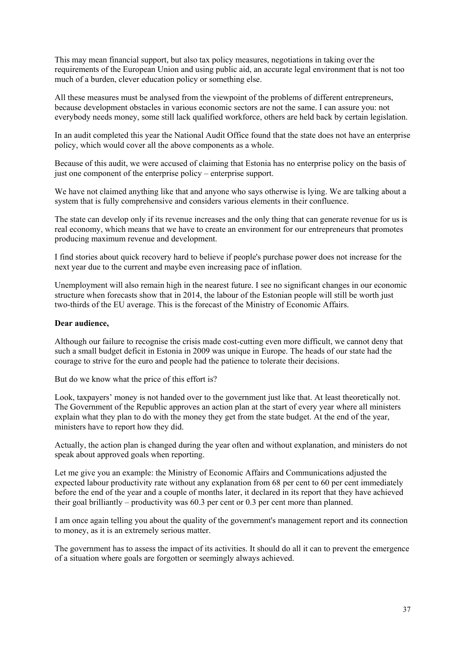This may mean financial support, but also tax policy measures, negotiations in taking over the requirements of the European Union and using public aid, an accurate legal environment that is not too much of a burden, clever education policy or something else.

All these measures must be analysed from the viewpoint of the problems of different entrepreneurs, because development obstacles in various economic sectors are not the same. I can assure you: not everybody needs money, some still lack qualified workforce, others are held back by certain legislation.

In an audit completed this year the National Audit Office found that the state does not have an enterprise policy, which would cover all the above components as a whole.

Because of this audit, we were accused of claiming that Estonia has no enterprise policy on the basis of just one component of the enterprise policy – enterprise support.

We have not claimed anything like that and anyone who says otherwise is lying. We are talking about a system that is fully comprehensive and considers various elements in their confluence.

The state can develop only if its revenue increases and the only thing that can generate revenue for us is real economy, which means that we have to create an environment for our entrepreneurs that promotes producing maximum revenue and development.

I find stories about quick recovery hard to believe if people's purchase power does not increase for the next year due to the current and maybe even increasing pace of inflation.

Unemployment will also remain high in the nearest future. I see no significant changes in our economic structure when forecasts show that in 2014, the labour of the Estonian people will still be worth just two-thirds of the EU average. This is the forecast of the Ministry of Economic Affairs.

#### **Dear audience,**

Although our failure to recognise the crisis made cost-cutting even more difficult, we cannot deny that such a small budget deficit in Estonia in 2009 was unique in Europe. The heads of our state had the courage to strive for the euro and people had the patience to tolerate their decisions.

But do we know what the price of this effort is?

Look, taxpayers' money is not handed over to the government just like that. At least theoretically not. The Government of the Republic approves an action plan at the start of every year where all ministers explain what they plan to do with the money they get from the state budget. At the end of the year, ministers have to report how they did.

Actually, the action plan is changed during the year often and without explanation, and ministers do not speak about approved goals when reporting.

Let me give you an example: the Ministry of Economic Affairs and Communications adjusted the expected labour productivity rate without any explanation from 68 per cent to 60 per cent immediately before the end of the year and a couple of months later, it declared in its report that they have achieved their goal brilliantly – productivity was 60.3 per cent or 0.3 per cent more than planned.

I am once again telling you about the quality of the government's management report and its connection to money, as it is an extremely serious matter.

The government has to assess the impact of its activities. It should do all it can to prevent the emergence of a situation where goals are forgotten or seemingly always achieved.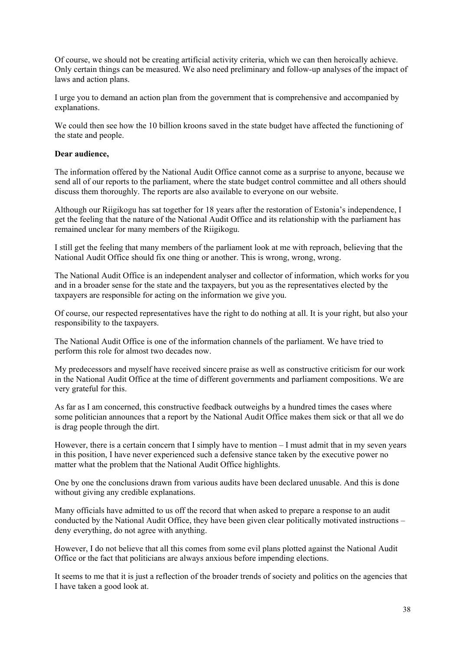Of course, we should not be creating artificial activity criteria, which we can then heroically achieve. Only certain things can be measured. We also need preliminary and follow-up analyses of the impact of laws and action plans.

I urge you to demand an action plan from the government that is comprehensive and accompanied by explanations.

We could then see how the 10 billion kroons saved in the state budget have affected the functioning of the state and people.

#### **Dear audience,**

The information offered by the National Audit Office cannot come as a surprise to anyone, because we send all of our reports to the parliament, where the state budget control committee and all others should discuss them thoroughly. The reports are also available to everyone on our website.

Although our Riigikogu has sat together for 18 years after the restoration of Estonia"s independence, I get the feeling that the nature of the National Audit Office and its relationship with the parliament has remained unclear for many members of the Riigikogu.

I still get the feeling that many members of the parliament look at me with reproach, believing that the National Audit Office should fix one thing or another. This is wrong, wrong, wrong.

The National Audit Office is an independent analyser and collector of information, which works for you and in a broader sense for the state and the taxpayers, but you as the representatives elected by the taxpayers are responsible for acting on the information we give you.

Of course, our respected representatives have the right to do nothing at all. It is your right, but also your responsibility to the taxpayers.

The National Audit Office is one of the information channels of the parliament. We have tried to perform this role for almost two decades now.

My predecessors and myself have received sincere praise as well as constructive criticism for our work in the National Audit Office at the time of different governments and parliament compositions. We are very grateful for this.

As far as I am concerned, this constructive feedback outweighs by a hundred times the cases where some politician announces that a report by the National Audit Office makes them sick or that all we do is drag people through the dirt.

However, there is a certain concern that I simply have to mention – I must admit that in my seven years in this position, I have never experienced such a defensive stance taken by the executive power no matter what the problem that the National Audit Office highlights.

One by one the conclusions drawn from various audits have been declared unusable. And this is done without giving any credible explanations.

Many officials have admitted to us off the record that when asked to prepare a response to an audit conducted by the National Audit Office, they have been given clear politically motivated instructions – deny everything, do not agree with anything.

However, I do not believe that all this comes from some evil plans plotted against the National Audit Office or the fact that politicians are always anxious before impending elections.

It seems to me that it is just a reflection of the broader trends of society and politics on the agencies that I have taken a good look at.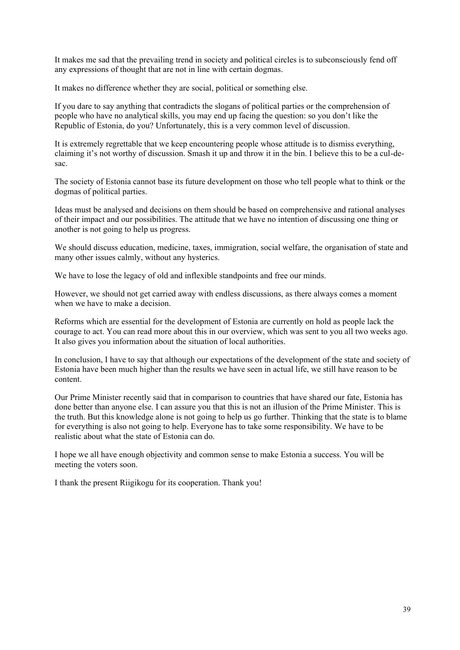It makes me sad that the prevailing trend in society and political circles is to subconsciously fend off any expressions of thought that are not in line with certain dogmas.

It makes no difference whether they are social, political or something else.

If you dare to say anything that contradicts the slogans of political parties or the comprehension of people who have no analytical skills, you may end up facing the question: so you don"t like the Republic of Estonia, do you? Unfortunately, this is a very common level of discussion.

It is extremely regrettable that we keep encountering people whose attitude is to dismiss everything, claiming it's not worthy of discussion. Smash it up and throw it in the bin. I believe this to be a cul-desac.

The society of Estonia cannot base its future development on those who tell people what to think or the dogmas of political parties.

Ideas must be analysed and decisions on them should be based on comprehensive and rational analyses of their impact and our possibilities. The attitude that we have no intention of discussing one thing or another is not going to help us progress.

We should discuss education, medicine, taxes, immigration, social welfare, the organisation of state and many other issues calmly, without any hysterics.

We have to lose the legacy of old and inflexible standpoints and free our minds.

However, we should not get carried away with endless discussions, as there always comes a moment when we have to make a decision.

Reforms which are essential for the development of Estonia are currently on hold as people lack the courage to act. You can read more about this in our overview, which was sent to you all two weeks ago. It also gives you information about the situation of local authorities.

In conclusion, I have to say that although our expectations of the development of the state and society of Estonia have been much higher than the results we have seen in actual life, we still have reason to be content.

Our Prime Minister recently said that in comparison to countries that have shared our fate, Estonia has done better than anyone else. I can assure you that this is not an illusion of the Prime Minister. This is the truth. But this knowledge alone is not going to help us go further. Thinking that the state is to blame for everything is also not going to help. Everyone has to take some responsibility. We have to be realistic about what the state of Estonia can do.

I hope we all have enough objectivity and common sense to make Estonia a success. You will be meeting the voters soon.

I thank the present Riigikogu for its cooperation. Thank you!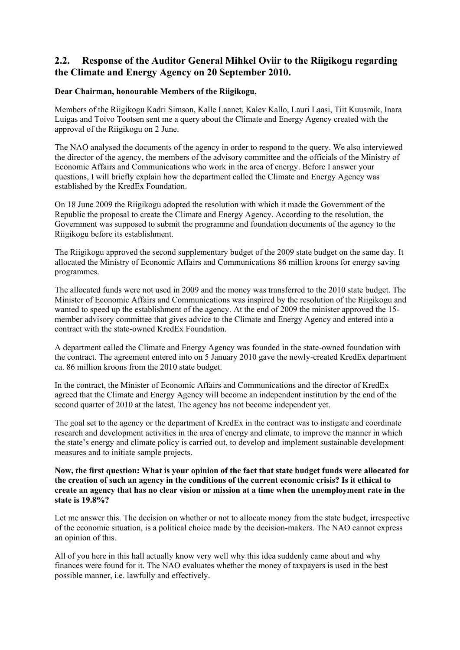### <span id="page-39-0"></span>**2.2. Response of the Auditor General Mihkel Oviir to the Riigikogu regarding the Climate and Energy Agency on 20 September 2010.**

#### **Dear Chairman, honourable Members of the Riigikogu,**

Members of the Riigikogu Kadri Simson, Kalle Laanet, Kalev Kallo, Lauri Laasi, Tiit Kuusmik, Inara Luigas and Toivo Tootsen sent me a query about the Climate and Energy Agency created with the approval of the Riigikogu on 2 June.

The NAO analysed the documents of the agency in order to respond to the query. We also interviewed the director of the agency, the members of the advisory committee and the officials of the Ministry of Economic Affairs and Communications who work in the area of energy. Before I answer your questions, I will briefly explain how the department called the Climate and Energy Agency was established by the KredEx Foundation.

On 18 June 2009 the Riigikogu adopted the resolution with which it made the Government of the Republic the proposal to create the Climate and Energy Agency. According to the resolution, the Government was supposed to submit the programme and foundation documents of the agency to the Riigikogu before its establishment.

The Riigikogu approved the second supplementary budget of the 2009 state budget on the same day. It allocated the Ministry of Economic Affairs and Communications 86 million kroons for energy saving programmes.

The allocated funds were not used in 2009 and the money was transferred to the 2010 state budget. The Minister of Economic Affairs and Communications was inspired by the resolution of the Riigikogu and wanted to speed up the establishment of the agency. At the end of 2009 the minister approved the 15 member advisory committee that gives advice to the Climate and Energy Agency and entered into a contract with the state-owned KredEx Foundation.

A department called the Climate and Energy Agency was founded in the state-owned foundation with the contract. The agreement entered into on 5 January 2010 gave the newly-created KredEx department ca. 86 million kroons from the 2010 state budget.

In the contract, the Minister of Economic Affairs and Communications and the director of KredEx agreed that the Climate and Energy Agency will become an independent institution by the end of the second quarter of 2010 at the latest. The agency has not become independent yet.

The goal set to the agency or the department of KredEx in the contract was to instigate and coordinate research and development activities in the area of energy and climate, to improve the manner in which the state"s energy and climate policy is carried out, to develop and implement sustainable development measures and to initiate sample projects.

#### **Now, the first question: What is your opinion of the fact that state budget funds were allocated for the creation of such an agency in the conditions of the current economic crisis? Is it ethical to create an agency that has no clear vision or mission at a time when the unemployment rate in the state is 19.8%?**

Let me answer this. The decision on whether or not to allocate money from the state budget, irrespective of the economic situation, is a political choice made by the decision-makers. The NAO cannot express an opinion of this.

All of you here in this hall actually know very well why this idea suddenly came about and why finances were found for it. The NAO evaluates whether the money of taxpayers is used in the best possible manner, i.e. lawfully and effectively.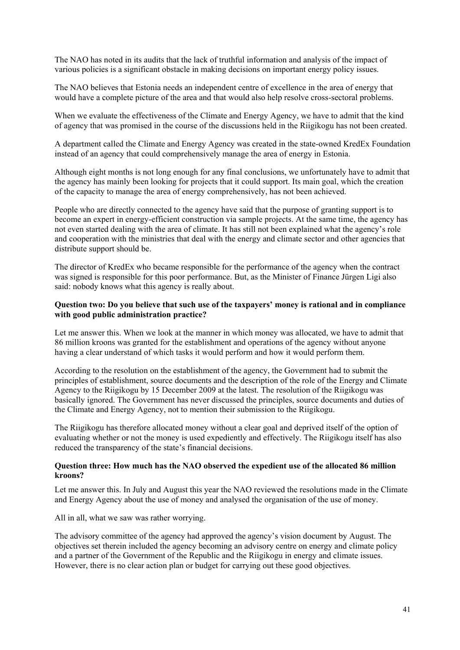The NAO has noted in its audits that the lack of truthful information and analysis of the impact of various policies is a significant obstacle in making decisions on important energy policy issues.

The NAO believes that Estonia needs an independent centre of excellence in the area of energy that would have a complete picture of the area and that would also help resolve cross-sectoral problems.

When we evaluate the effectiveness of the Climate and Energy Agency, we have to admit that the kind of agency that was promised in the course of the discussions held in the Riigikogu has not been created.

A department called the Climate and Energy Agency was created in the state-owned KredEx Foundation instead of an agency that could comprehensively manage the area of energy in Estonia.

Although eight months is not long enough for any final conclusions, we unfortunately have to admit that the agency has mainly been looking for projects that it could support. Its main goal, which the creation of the capacity to manage the area of energy comprehensively, has not been achieved.

People who are directly connected to the agency have said that the purpose of granting support is to become an expert in energy-efficient construction via sample projects. At the same time, the agency has not even started dealing with the area of climate. It has still not been explained what the agency"s role and cooperation with the ministries that deal with the energy and climate sector and other agencies that distribute support should be.

The director of KredEx who became responsible for the performance of the agency when the contract was signed is responsible for this poor performance. But, as the Minister of Finance Jürgen Ligi also said: nobody knows what this agency is really about.

#### **Question two: Do you believe that such use of the taxpayers' money is rational and in compliance with good public administration practice?**

Let me answer this. When we look at the manner in which money was allocated, we have to admit that 86 million kroons was granted for the establishment and operations of the agency without anyone having a clear understand of which tasks it would perform and how it would perform them.

According to the resolution on the establishment of the agency, the Government had to submit the principles of establishment, source documents and the description of the role of the Energy and Climate Agency to the Riigikogu by 15 December 2009 at the latest. The resolution of the Riigikogu was basically ignored. The Government has never discussed the principles, source documents and duties of the Climate and Energy Agency, not to mention their submission to the Riigikogu.

The Riigikogu has therefore allocated money without a clear goal and deprived itself of the option of evaluating whether or not the money is used expediently and effectively. The Riigikogu itself has also reduced the transparency of the state's financial decisions.

#### **Question three: How much has the NAO observed the expedient use of the allocated 86 million kroons?**

Let me answer this. In July and August this year the NAO reviewed the resolutions made in the Climate and Energy Agency about the use of money and analysed the organisation of the use of money.

All in all, what we saw was rather worrying.

The advisory committee of the agency had approved the agency"s vision document by August. The objectives set therein included the agency becoming an advisory centre on energy and climate policy and a partner of the Government of the Republic and the Riigikogu in energy and climate issues. However, there is no clear action plan or budget for carrying out these good objectives.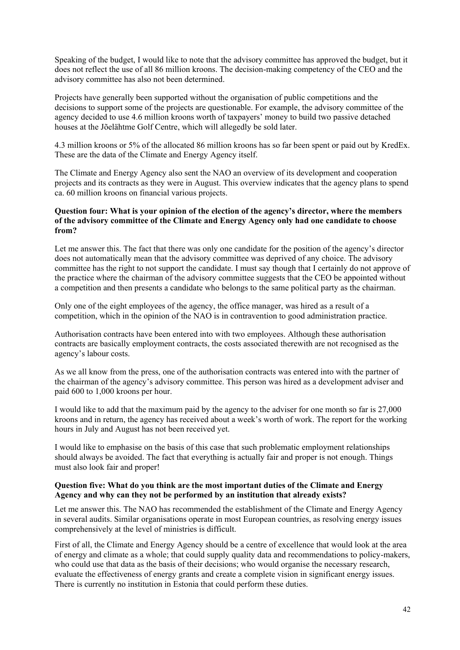Speaking of the budget, I would like to note that the advisory committee has approved the budget, but it does not reflect the use of all 86 million kroons. The decision-making competency of the CEO and the advisory committee has also not been determined.

Projects have generally been supported without the organisation of public competitions and the decisions to support some of the projects are questionable. For example, the advisory committee of the agency decided to use 4.6 million kroons worth of taxpayers" money to build two passive detached houses at the Jõelähtme Golf Centre, which will allegedly be sold later.

4.3 million kroons or 5% of the allocated 86 million kroons has so far been spent or paid out by KredEx. These are the data of the Climate and Energy Agency itself.

The Climate and Energy Agency also sent the NAO an overview of its development and cooperation projects and its contracts as they were in August. This overview indicates that the agency plans to spend ca. 60 million kroons on financial various projects.

#### **Question four: What is your opinion of the election of the agency's director, where the members of the advisory committee of the Climate and Energy Agency only had one candidate to choose from?**

Let me answer this. The fact that there was only one candidate for the position of the agency's director does not automatically mean that the advisory committee was deprived of any choice. The advisory committee has the right to not support the candidate. I must say though that I certainly do not approve of the practice where the chairman of the advisory committee suggests that the CEO be appointed without a competition and then presents a candidate who belongs to the same political party as the chairman.

Only one of the eight employees of the agency, the office manager, was hired as a result of a competition, which in the opinion of the NAO is in contravention to good administration practice.

Authorisation contracts have been entered into with two employees. Although these authorisation contracts are basically employment contracts, the costs associated therewith are not recognised as the agency"s labour costs.

As we all know from the press, one of the authorisation contracts was entered into with the partner of the chairman of the agency"s advisory committee. This person was hired as a development adviser and paid 600 to 1,000 kroons per hour.

I would like to add that the maximum paid by the agency to the adviser for one month so far is 27,000 kroons and in return, the agency has received about a week"s worth of work. The report for the working hours in July and August has not been received yet.

I would like to emphasise on the basis of this case that such problematic employment relationships should always be avoided. The fact that everything is actually fair and proper is not enough. Things must also look fair and proper!

#### **Question five: What do you think are the most important duties of the Climate and Energy Agency and why can they not be performed by an institution that already exists?**

Let me answer this. The NAO has recommended the establishment of the Climate and Energy Agency in several audits. Similar organisations operate in most European countries, as resolving energy issues comprehensively at the level of ministries is difficult.

First of all, the Climate and Energy Agency should be a centre of excellence that would look at the area of energy and climate as a whole; that could supply quality data and recommendations to policy-makers, who could use that data as the basis of their decisions; who would organise the necessary research, evaluate the effectiveness of energy grants and create a complete vision in significant energy issues. There is currently no institution in Estonia that could perform these duties.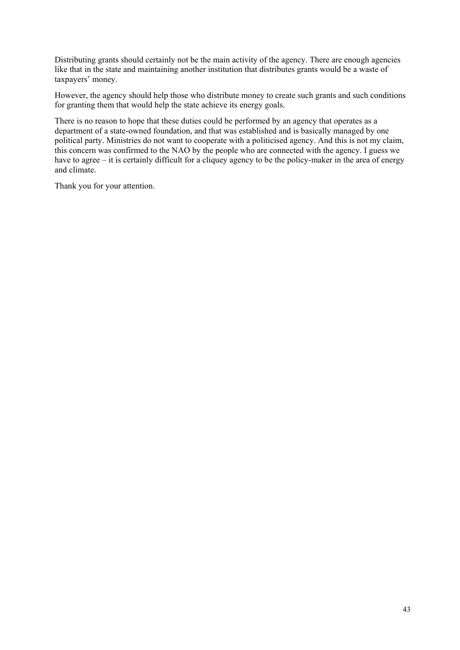Distributing grants should certainly not be the main activity of the agency. There are enough agencies like that in the state and maintaining another institution that distributes grants would be a waste of taxpayers' money.

However, the agency should help those who distribute money to create such grants and such conditions for granting them that would help the state achieve its energy goals.

There is no reason to hope that these duties could be performed by an agency that operates as a department of a state-owned foundation, and that was established and is basically managed by one political party. Ministries do not want to cooperate with a politicised agency. And this is not my claim, this concern was confirmed to the NAO by the people who are connected with the agency. I guess we have to agree – it is certainly difficult for a cliquey agency to be the policy-maker in the area of energy and climate.

Thank you for your attention.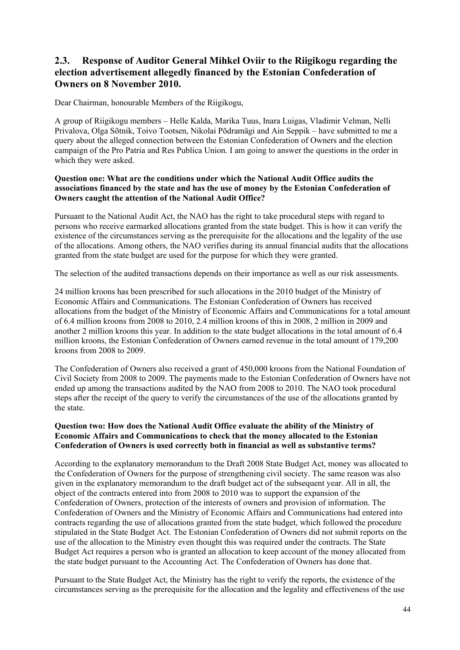### **2.3. Response of Auditor General Mihkel Oviir to the Riigikogu regarding the election advertisement allegedly financed by the Estonian Confederation of Owners on 8 November 2010.**

Dear Chairman, honourable Members of the Riigikogu,

A group of Riigikogu members – Helle Kalda, Marika Tuus, Inara Luigas, Vladimir Velman, Nelli Privalova, Olga Sõtnik, Toivo Tootsen, Nikolai Põdramägi and Ain Seppik – have submitted to me a query about the alleged connection between the Estonian Confederation of Owners and the election campaign of the Pro Patria and Res Publica Union. I am going to answer the questions in the order in which they were asked.

#### **Question one: What are the conditions under which the National Audit Office audits the associations financed by the state and has the use of money by the Estonian Confederation of Owners caught the attention of the National Audit Office?**

Pursuant to the National Audit Act, the NAO has the right to take procedural steps with regard to persons who receive earmarked allocations granted from the state budget. This is how it can verify the existence of the circumstances serving as the prerequisite for the allocations and the legality of the use of the allocations. Among others, the NAO verifies during its annual financial audits that the allocations granted from the state budget are used for the purpose for which they were granted.

The selection of the audited transactions depends on their importance as well as our risk assessments.

24 million kroons has been prescribed for such allocations in the 2010 budget of the Ministry of Economic Affairs and Communications. The Estonian Confederation of Owners has received allocations from the budget of the Ministry of Economic Affairs and Communications for a total amount of 6.4 million kroons from 2008 to 2010, 2.4 million kroons of this in 2008, 2 million in 2009 and another 2 million kroons this year. In addition to the state budget allocations in the total amount of 6.4 million kroons, the Estonian Confederation of Owners earned revenue in the total amount of 179,200 kroons from 2008 to 2009.

The Confederation of Owners also received a grant of 450,000 kroons from the National Foundation of Civil Society from 2008 to 2009. The payments made to the Estonian Confederation of Owners have not ended up among the transactions audited by the NAO from 2008 to 2010. The NAO took procedural steps after the receipt of the query to verify the circumstances of the use of the allocations granted by the state.

#### **Question two: How does the National Audit Office evaluate the ability of the Ministry of Economic Affairs and Communications to check that the money allocated to the Estonian Confederation of Owners is used correctly both in financial as well as substantive terms?**

According to the explanatory memorandum to the Draft 2008 State Budget Act, money was allocated to the Confederation of Owners for the purpose of strengthening civil society. The same reason was also given in the explanatory memorandum to the draft budget act of the subsequent year. All in all, the object of the contracts entered into from 2008 to 2010 was to support the expansion of the Confederation of Owners, protection of the interests of owners and provision of information. The Confederation of Owners and the Ministry of Economic Affairs and Communications had entered into contracts regarding the use of allocations granted from the state budget, which followed the procedure stipulated in the State Budget Act. The Estonian Confederation of Owners did not submit reports on the use of the allocation to the Ministry even thought this was required under the contracts. The State Budget Act requires a person who is granted an allocation to keep account of the money allocated from the state budget pursuant to the Accounting Act. The Confederation of Owners has done that.

Pursuant to the State Budget Act, the Ministry has the right to verify the reports, the existence of the circumstances serving as the prerequisite for the allocation and the legality and effectiveness of the use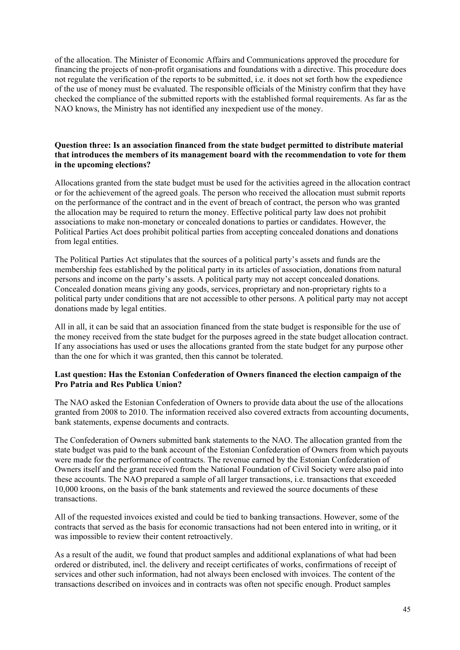of the allocation. The Minister of Economic Affairs and Communications approved the procedure for financing the projects of non-profit organisations and foundations with a directive. This procedure does not regulate the verification of the reports to be submitted, i.e. it does not set forth how the expedience of the use of money must be evaluated. The responsible officials of the Ministry confirm that they have checked the compliance of the submitted reports with the established formal requirements. As far as the NAO knows, the Ministry has not identified any inexpedient use of the money.

#### **Question three: Is an association financed from the state budget permitted to distribute material that introduces the members of its management board with the recommendation to vote for them in the upcoming elections?**

Allocations granted from the state budget must be used for the activities agreed in the allocation contract or for the achievement of the agreed goals. The person who received the allocation must submit reports on the performance of the contract and in the event of breach of contract, the person who was granted the allocation may be required to return the money. Effective political party law does not prohibit associations to make non-monetary or concealed donations to parties or candidates. However, the Political Parties Act does prohibit political parties from accepting concealed donations and donations from legal entities.

The Political Parties Act stipulates that the sources of a political party"s assets and funds are the membership fees established by the political party in its articles of association, donations from natural persons and income on the party"s assets. A political party may not accept concealed donations. Concealed donation means giving any goods, services, proprietary and non-proprietary rights to a political party under conditions that are not accessible to other persons. A political party may not accept donations made by legal entities.

All in all, it can be said that an association financed from the state budget is responsible for the use of the money received from the state budget for the purposes agreed in the state budget allocation contract. If any associations has used or uses the allocations granted from the state budget for any purpose other than the one for which it was granted, then this cannot be tolerated.

#### **Last question: Has the Estonian Confederation of Owners financed the election campaign of the Pro Patria and Res Publica Union?**

The NAO asked the Estonian Confederation of Owners to provide data about the use of the allocations granted from 2008 to 2010. The information received also covered extracts from accounting documents, bank statements, expense documents and contracts.

The Confederation of Owners submitted bank statements to the NAO. The allocation granted from the state budget was paid to the bank account of the Estonian Confederation of Owners from which payouts were made for the performance of contracts. The revenue earned by the Estonian Confederation of Owners itself and the grant received from the National Foundation of Civil Society were also paid into these accounts. The NAO prepared a sample of all larger transactions, i.e. transactions that exceeded 10,000 kroons, on the basis of the bank statements and reviewed the source documents of these transactions.

All of the requested invoices existed and could be tied to banking transactions. However, some of the contracts that served as the basis for economic transactions had not been entered into in writing, or it was impossible to review their content retroactively.

As a result of the audit, we found that product samples and additional explanations of what had been ordered or distributed, incl. the delivery and receipt certificates of works, confirmations of receipt of services and other such information, had not always been enclosed with invoices. The content of the transactions described on invoices and in contracts was often not specific enough. Product samples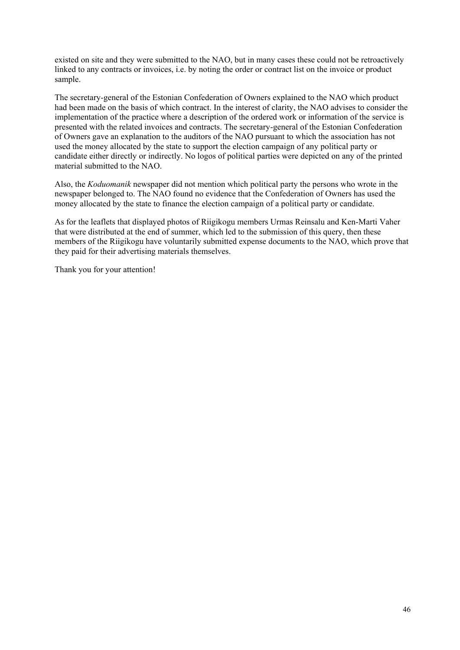existed on site and they were submitted to the NAO, but in many cases these could not be retroactively linked to any contracts or invoices, i.e. by noting the order or contract list on the invoice or product sample.

The secretary-general of the Estonian Confederation of Owners explained to the NAO which product had been made on the basis of which contract. In the interest of clarity, the NAO advises to consider the implementation of the practice where a description of the ordered work or information of the service is presented with the related invoices and contracts. The secretary-general of the Estonian Confederation of Owners gave an explanation to the auditors of the NAO pursuant to which the association has not used the money allocated by the state to support the election campaign of any political party or candidate either directly or indirectly. No logos of political parties were depicted on any of the printed material submitted to the NAO.

Also, the *Koduomanik* newspaper did not mention which political party the persons who wrote in the newspaper belonged to. The NAO found no evidence that the Confederation of Owners has used the money allocated by the state to finance the election campaign of a political party or candidate.

As for the leaflets that displayed photos of Riigikogu members Urmas Reinsalu and Ken-Marti Vaher that were distributed at the end of summer, which led to the submission of this query, then these members of the Riigikogu have voluntarily submitted expense documents to the NAO, which prove that they paid for their advertising materials themselves.

Thank you for your attention!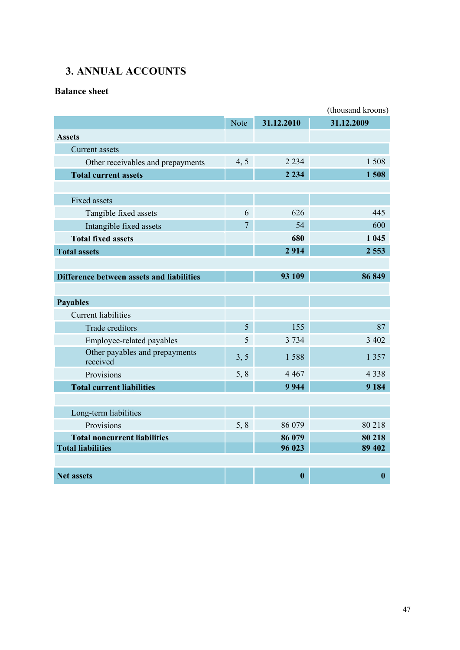# <span id="page-46-0"></span>**3. ANNUAL ACCOUNTS**

### **Balance sheet**

|                                            |                |                  | (thousand kroons) |
|--------------------------------------------|----------------|------------------|-------------------|
|                                            | <b>Note</b>    | 31.12.2010       | 31.12.2009        |
| <b>Assets</b>                              |                |                  |                   |
| <b>Current</b> assets                      |                |                  |                   |
| Other receivables and prepayments          | 4, 5           | 2 2 3 4          | 1508              |
| <b>Total current assets</b>                |                | 2 2 3 4          | 1508              |
|                                            |                |                  |                   |
| <b>Fixed assets</b>                        |                |                  |                   |
| Tangible fixed assets                      | 6              | 626              | 445               |
| Intangible fixed assets                    | $\overline{7}$ | 54               | 600               |
| <b>Total fixed assets</b>                  |                | 680              | 1 0 4 5           |
| <b>Total assets</b>                        |                | 2914             | 2 5 5 3           |
|                                            |                |                  |                   |
| Difference between assets and liabilities  |                | 93 109           | 86 849            |
|                                            |                |                  |                   |
| <b>Payables</b>                            |                |                  |                   |
| <b>Current liabilities</b>                 |                |                  |                   |
| <b>Trade creditors</b>                     | 5              | 155              | 87                |
| Employee-related payables                  | 5              | 3 7 3 4          | 3 4 0 2           |
| Other payables and prepayments<br>received | 3, 5           | 1588             | 1 3 5 7           |
| Provisions                                 | 5, 8           | 4 4 6 7          | 4 3 3 8           |
| <b>Total current liabilities</b>           |                | 9944             | 9 1 8 4           |
|                                            |                |                  |                   |
| Long-term liabilities                      |                |                  |                   |
| Provisions                                 | 5, 8           | 86 079           | 80 218            |
| <b>Total noncurrent liabilities</b>        |                | 86 079           | 80 218            |
| <b>Total liabilities</b>                   |                | 96 023           | 89 402            |
|                                            |                |                  |                   |
| <b>Net assets</b>                          |                | $\boldsymbol{0}$ | $\boldsymbol{0}$  |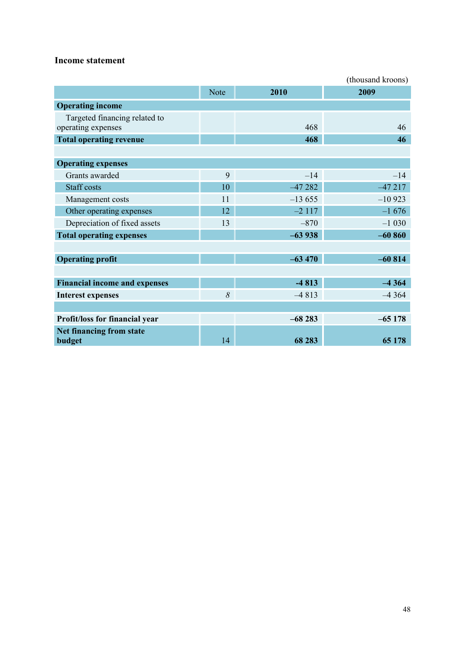### **Income statement**

|                                      |             |          | (thousand kroons) |
|--------------------------------------|-------------|----------|-------------------|
|                                      | <b>Note</b> | 2010     | 2009              |
| <b>Operating income</b>              |             |          |                   |
| Targeted financing related to        |             |          |                   |
| operating expenses                   |             | 468      | 46                |
| <b>Total operating revenue</b>       |             | 468      | 46                |
|                                      |             |          |                   |
| <b>Operating expenses</b>            |             |          |                   |
| Grants awarded                       | 9           | $-14$    | $-14$             |
| <b>Staff</b> costs                   | 10          | $-47282$ | $-47217$          |
| Management costs                     | 11          | $-13655$ | $-10923$          |
| Other operating expenses             | 12          | $-2117$  | $-1676$           |
| Depreciation of fixed assets         | 13          | $-870$   | $-1030$           |
| <b>Total operating expenses</b>      |             | $-63938$ | $-60860$          |
|                                      |             |          |                   |
| <b>Operating profit</b>              |             | $-63470$ | $-60814$          |
|                                      |             |          |                   |
| <b>Financial income and expenses</b> |             | $-4813$  | $-4364$           |
| <b>Interest expenses</b>             | 8           | $-4813$  | $-4364$           |
|                                      |             |          |                   |
| Profit/loss for financial year       |             | $-68283$ | $-65178$          |
| Net financing from state             |             |          |                   |
| budget                               | 14          | 68 283   | 65 178            |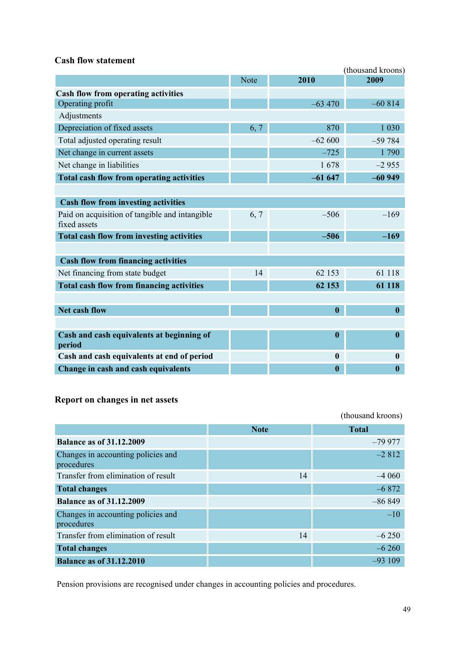### **Cash flow statement**

|                                                                |             |                  | (thousand kroons) |
|----------------------------------------------------------------|-------------|------------------|-------------------|
|                                                                | <b>Note</b> | 2010             | 2009              |
| <b>Cash flow from operating activities</b>                     |             |                  |                   |
| Operating profit                                               |             | $-63,470$        | $-60814$          |
| Adjustments                                                    |             |                  |                   |
| Depreciation of fixed assets                                   | 6, 7        | 870              | 1 0 3 0           |
| Total adjusted operating result                                |             | $-62600$         | $-59784$          |
| Net change in current assets                                   |             | $-725$           | 1790              |
| Net change in liabilities                                      |             | 1678             | $-2955$           |
| <b>Total cash flow from operating activities</b>               |             | $-61647$         | $-60949$          |
|                                                                |             |                  |                   |
| <b>Cash flow from investing activities</b>                     |             |                  |                   |
| Paid on acquisition of tangible and intangible<br>fixed assets | 6, 7        | $-506$           | $-169$            |
| Total cash flow from investing activities                      |             | $-506$           | $-169$            |
|                                                                |             |                  |                   |
| <b>Cash flow from financing activities</b>                     |             |                  |                   |
| Net financing from state budget                                | 14          | 62 153           | 61 118            |
| <b>Total cash flow from financing activities</b>               |             | 62 153           | 61 118            |
|                                                                |             |                  |                   |
| <b>Net cash flow</b>                                           |             | $\boldsymbol{0}$ | $\boldsymbol{0}$  |
|                                                                |             |                  |                   |
| Cash and cash equivalents at beginning of<br>period            |             | $\boldsymbol{0}$ | $\boldsymbol{0}$  |
| Cash and cash equivalents at end of period                     |             | $\boldsymbol{0}$ | $\boldsymbol{0}$  |
| Change in cash and cash equivalents                            |             | $\bf{0}$         | $\bf{0}$          |

#### **Report on changes in net assets**

(thousand kroons) **Note Total Balance as of 31.12.2009** –79 977 Changes in accounting policies and procedures –2 812 Transfer from elimination of result 14 –4 060 **Total changes** –6 872 **Balance as of 31.12.2009** –86 849 Changes in accounting policies and procedures –10 Transfer from elimination of result 14 –6 250 **Total changes** –6 260 **Balance as of 31.12.2010** – **1** –93 109

Pension provisions are recognised under changes in accounting policies and procedures.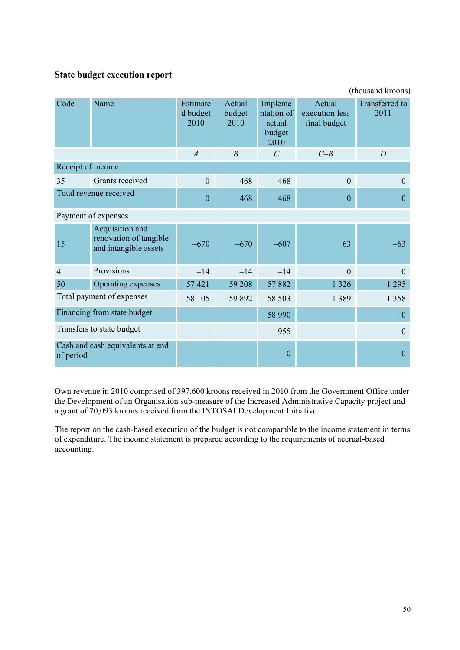### **State budget execution report**

| (thousand kroons)      |                                                                    |                              |                          |                                                   |                                          |                               |
|------------------------|--------------------------------------------------------------------|------------------------------|--------------------------|---------------------------------------------------|------------------------------------------|-------------------------------|
| Code                   | Name                                                               | Estimate<br>d budget<br>2010 | Actual<br>budget<br>2010 | Impleme<br>ntation of<br>actual<br>budget<br>2010 | Actual<br>execution less<br>final budget | <b>Transferred</b> to<br>2011 |
|                        |                                                                    | $\overline{A}$               | $\boldsymbol{B}$         | $\mathcal{C}$                                     | $C-B$                                    | $\overline{D}$                |
| Receipt of income      |                                                                    |                              |                          |                                                   |                                          |                               |
| 35                     | Grants received                                                    | $\overline{0}$               | 468                      | 468                                               | $\overline{0}$                           | $\theta$                      |
| Total revenue received |                                                                    | $\boldsymbol{0}$             | 468                      | 468                                               | $\mathbf{0}$                             | $\overline{0}$                |
|                        | Payment of expenses                                                |                              |                          |                                                   |                                          |                               |
| 15                     | Acquisition and<br>renovation of tangible<br>and intangible assets | $-670$                       | $-670$                   | $-607$                                            | 63                                       | $-63$                         |
| $\overline{4}$         | Provisions                                                         | $-14$                        | $-14$                    | $-14$                                             | $\mathbf{0}$                             | $\theta$                      |
| 50                     | Operating expenses                                                 | $-57421$                     | $-59208$                 | $-57882$                                          | 1 3 2 6                                  | $-1295$                       |
|                        | Total payment of expenses                                          | $-58105$                     | $-59892$                 | $-58503$                                          | 1 3 8 9                                  | $-1358$                       |
|                        | Financing from state budget                                        |                              |                          | 58 990                                            |                                          | $\boldsymbol{0}$              |
|                        | Transfers to state budget                                          |                              |                          | $-955$                                            |                                          | $\theta$                      |
| of period              | Cash and cash equivalents at end                                   |                              |                          | $\boldsymbol{0}$                                  |                                          | $\mathbf{0}$                  |

Own revenue in 2010 comprised of 397,600 kroons received in 2010 from the Government Office under the Development of an Organisation sub-measure of the Increased Administrative Capacity project and a grant of 70,093 kroons received from the INTOSAI Development Initiative.

The report on the cash-based execution of the budget is not comparable to the income statement in terms of expenditure. The income statement is prepared according to the requirements of accrual-based accounting.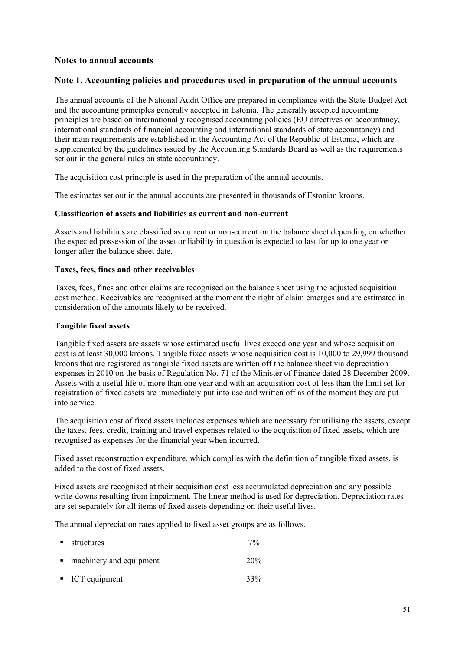#### **Notes to annual accounts**

#### **Note 1. Accounting policies and procedures used in preparation of the annual accounts**

The annual accounts of the National Audit Office are prepared in compliance with the State Budget Act and the accounting principles generally accepted in Estonia. The generally accepted accounting principles are based on internationally recognised accounting policies (EU directives on accountancy, international standards of financial accounting and international standards of state accountancy) and their main requirements are established in the Accounting Act of the Republic of Estonia, which are supplemented by the guidelines issued by the Accounting Standards Board as well as the requirements set out in the general rules on state accountancy.

The acquisition cost principle is used in the preparation of the annual accounts.

The estimates set out in the annual accounts are presented in thousands of Estonian kroons.

#### **Classification of assets and liabilities as current and non-current**

Assets and liabilities are classified as current or non-current on the balance sheet depending on whether the expected possession of the asset or liability in question is expected to last for up to one year or longer after the balance sheet date.

#### **Taxes, fees, fines and other receivables**

Taxes, fees, fines and other claims are recognised on the balance sheet using the adjusted acquisition cost method. Receivables are recognised at the moment the right of claim emerges and are estimated in consideration of the amounts likely to be received.

#### **Tangible fixed assets**

Tangible fixed assets are assets whose estimated useful lives exceed one year and whose acquisition cost is at least 30,000 kroons. Tangible fixed assets whose acquisition cost is 10,000 to 29,999 thousand kroons that are registered as tangible fixed assets are written off the balance sheet via depreciation expenses in 2010 on the basis of Regulation No. 71 of the Minister of Finance dated 28 December 2009. Assets with a useful life of more than one year and with an acquisition cost of less than the limit set for registration of fixed assets are immediately put into use and written off as of the moment they are put into service.

The acquisition cost of fixed assets includes expenses which are necessary for utilising the assets, except the taxes, fees, credit, training and travel expenses related to the acquisition of fixed assets, which are recognised as expenses for the financial year when incurred.

Fixed asset reconstruction expenditure, which complies with the definition of tangible fixed assets, is added to the cost of fixed assets.

Fixed assets are recognised at their acquisition cost less accumulated depreciation and any possible write-downs resulting from impairment. The linear method is used for depreciation. Depreciation rates are set separately for all items of fixed assets depending on their useful lives.

The annual depreciation rates applied to fixed asset groups are as follows.

| $\blacksquare$ | structures                   | $7\%$ |
|----------------|------------------------------|-------|
|                | • machinery and equipment    | 20%   |
|                | $\blacksquare$ ICT equipment | 33%   |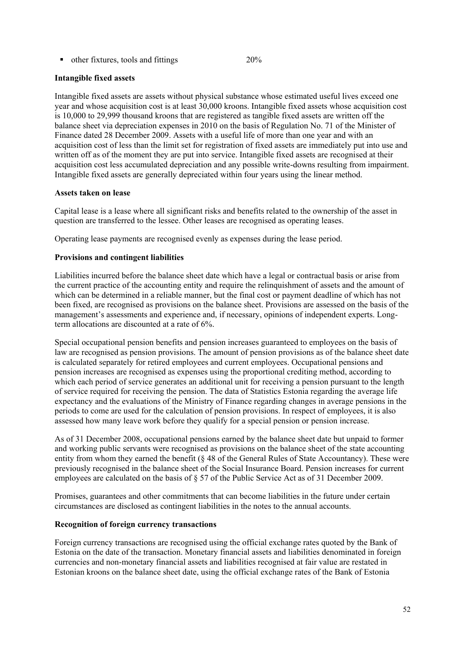• other fixtures, tools and fittings 20%

#### **Intangible fixed assets**

Intangible fixed assets are assets without physical substance whose estimated useful lives exceed one year and whose acquisition cost is at least 30,000 kroons. Intangible fixed assets whose acquisition cost is 10,000 to 29,999 thousand kroons that are registered as tangible fixed assets are written off the balance sheet via depreciation expenses in 2010 on the basis of Regulation No. 71 of the Minister of Finance dated 28 December 2009. Assets with a useful life of more than one year and with an acquisition cost of less than the limit set for registration of fixed assets are immediately put into use and written off as of the moment they are put into service. Intangible fixed assets are recognised at their acquisition cost less accumulated depreciation and any possible write-downs resulting from impairment. Intangible fixed assets are generally depreciated within four years using the linear method.

#### **Assets taken on lease**

Capital lease is a lease where all significant risks and benefits related to the ownership of the asset in question are transferred to the lessee. Other leases are recognised as operating leases.

Operating lease payments are recognised evenly as expenses during the lease period.

#### **Provisions and contingent liabilities**

Liabilities incurred before the balance sheet date which have a legal or contractual basis or arise from the current practice of the accounting entity and require the relinquishment of assets and the amount of which can be determined in a reliable manner, but the final cost or payment deadline of which has not been fixed, are recognised as provisions on the balance sheet. Provisions are assessed on the basis of the management's assessments and experience and, if necessary, opinions of independent experts. Longterm allocations are discounted at a rate of 6%.

Special occupational pension benefits and pension increases guaranteed to employees on the basis of law are recognised as pension provisions. The amount of pension provisions as of the balance sheet date is calculated separately for retired employees and current employees. Occupational pensions and pension increases are recognised as expenses using the proportional crediting method, according to which each period of service generates an additional unit for receiving a pension pursuant to the length of service required for receiving the pension. The data of Statistics Estonia regarding the average life expectancy and the evaluations of the Ministry of Finance regarding changes in average pensions in the periods to come are used for the calculation of pension provisions. In respect of employees, it is also assessed how many leave work before they qualify for a special pension or pension increase.

As of 31 December 2008, occupational pensions earned by the balance sheet date but unpaid to former and working public servants were recognised as provisions on the balance sheet of the state accounting entity from whom they earned the benefit (§ 48 of the General Rules of State Accountancy). These were previously recognised in the balance sheet of the Social Insurance Board. Pension increases for current employees are calculated on the basis of § 57 of the Public Service Act as of 31 December 2009.

Promises, guarantees and other commitments that can become liabilities in the future under certain circumstances are disclosed as contingent liabilities in the notes to the annual accounts.

#### **Recognition of foreign currency transactions**

Foreign currency transactions are recognised using the official exchange rates quoted by the Bank of Estonia on the date of the transaction. Monetary financial assets and liabilities denominated in foreign currencies and non-monetary financial assets and liabilities recognised at fair value are restated in Estonian kroons on the balance sheet date, using the official exchange rates of the Bank of Estonia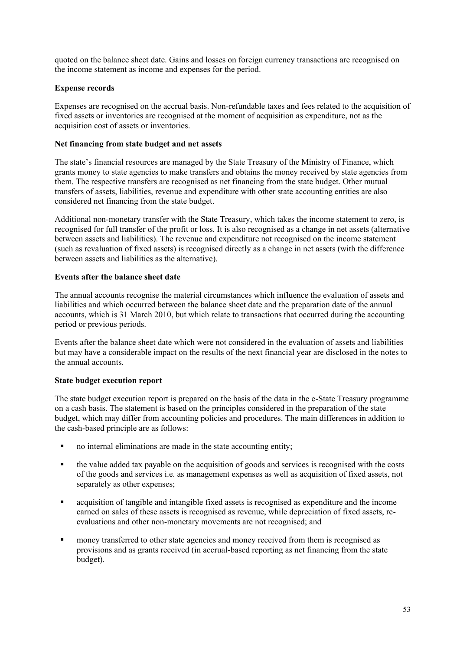quoted on the balance sheet date. Gains and losses on foreign currency transactions are recognised on the income statement as income and expenses for the period.

#### **Expense records**

Expenses are recognised on the accrual basis. Non-refundable taxes and fees related to the acquisition of fixed assets or inventories are recognised at the moment of acquisition as expenditure, not as the acquisition cost of assets or inventories.

#### **Net financing from state budget and net assets**

The state's financial resources are managed by the State Treasury of the Ministry of Finance, which grants money to state agencies to make transfers and obtains the money received by state agencies from them. The respective transfers are recognised as net financing from the state budget. Other mutual transfers of assets, liabilities, revenue and expenditure with other state accounting entities are also considered net financing from the state budget.

Additional non-monetary transfer with the State Treasury, which takes the income statement to zero, is recognised for full transfer of the profit or loss. It is also recognised as a change in net assets (alternative between assets and liabilities). The revenue and expenditure not recognised on the income statement (such as revaluation of fixed assets) is recognised directly as a change in net assets (with the difference between assets and liabilities as the alternative).

#### **Events after the balance sheet date**

The annual accounts recognise the material circumstances which influence the evaluation of assets and liabilities and which occurred between the balance sheet date and the preparation date of the annual accounts, which is 31 March 2010, but which relate to transactions that occurred during the accounting period or previous periods.

Events after the balance sheet date which were not considered in the evaluation of assets and liabilities but may have a considerable impact on the results of the next financial year are disclosed in the notes to the annual accounts.

#### **State budget execution report**

The state budget execution report is prepared on the basis of the data in the e-State Treasury programme on a cash basis. The statement is based on the principles considered in the preparation of the state budget, which may differ from accounting policies and procedures. The main differences in addition to the cash-based principle are as follows:

- no internal eliminations are made in the state accounting entity;
- the value added tax payable on the acquisition of goods and services is recognised with the costs of the goods and services i.e. as management expenses as well as acquisition of fixed assets, not separately as other expenses;
- acquisition of tangible and intangible fixed assets is recognised as expenditure and the income earned on sales of these assets is recognised as revenue, while depreciation of fixed assets, reevaluations and other non-monetary movements are not recognised; and
- money transferred to other state agencies and money received from them is recognised as provisions and as grants received (in accrual-based reporting as net financing from the state budget).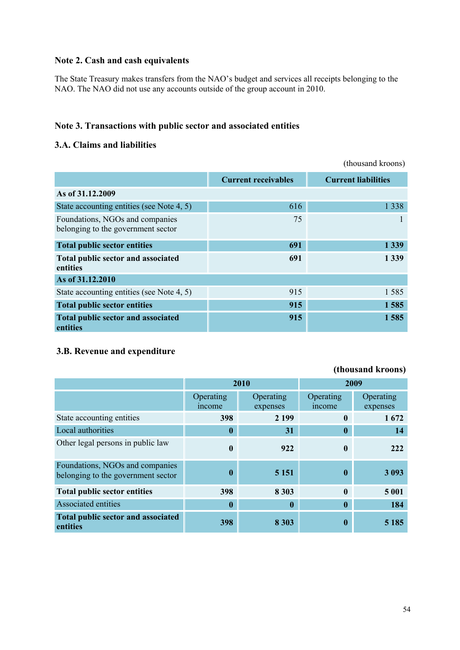### **Note 2. Cash and cash equivalents**

The State Treasury makes transfers from the NAO"s budget and services all receipts belonging to the NAO. The NAO did not use any accounts outside of the group account in 2010.

### **Note 3. Transactions with public sector and associated entities**

### **3.A. Claims and liabilities**

|                                                                       |                            | (thousand kroons)          |
|-----------------------------------------------------------------------|----------------------------|----------------------------|
|                                                                       | <b>Current receivables</b> | <b>Current liabilities</b> |
| As of 31.12.2009                                                      |                            |                            |
| State accounting entities (see Note 4, 5)                             | 616                        | 1 3 3 8                    |
| Foundations, NGOs and companies<br>belonging to the government sector | 75                         |                            |
| <b>Total public sector entities</b>                                   | 691                        | 1 3 3 9                    |
| Total public sector and associated<br>entities                        | 691                        | 1 3 3 9                    |
| As of 31.12.2010                                                      |                            |                            |
| State accounting entities (see Note 4, 5)                             | 915                        | 1585                       |
| <b>Total public sector entities</b>                                   | 915                        | 1585                       |
| Total public sector and associated<br>entities                        | 915                        | 1585                       |

### **3.B. Revenue and expenditure**

| TULUUSALIU INTUULIST                                                  |                    |                       |                     |                       |
|-----------------------------------------------------------------------|--------------------|-----------------------|---------------------|-----------------------|
|                                                                       | 2010               |                       | 2009                |                       |
|                                                                       | Operating<br>mcome | Operating<br>expenses | Operating<br>income | Operating<br>expenses |
| State accounting entities                                             | 398                | 2 1 9 9               | $\mathbf{0}$        | 1672                  |
| Local authorities                                                     | $\bf{0}$           | 31                    | $\boldsymbol{0}$    | 14                    |
| Other legal persons in public law                                     | $\mathbf{0}$       | 922                   | $\mathbf{0}$        | 222                   |
| Foundations, NGOs and companies<br>belonging to the government sector | 0                  | 5 1 5 1               | $\bf{0}$            | 3 0 9 3               |
| <b>Total public sector entities</b>                                   | 398                | 8 3 0 3               | $\mathbf{0}$        | 5 001                 |
| <b>Associated entities</b>                                            | $\bf{0}$           | $\boldsymbol{0}$      | 0                   | 184                   |
| Total public sector and associated<br>entities                        | 398                | 8 3 0 3               | 0                   | 5 1 8 5               |

### **(thousand kroons)**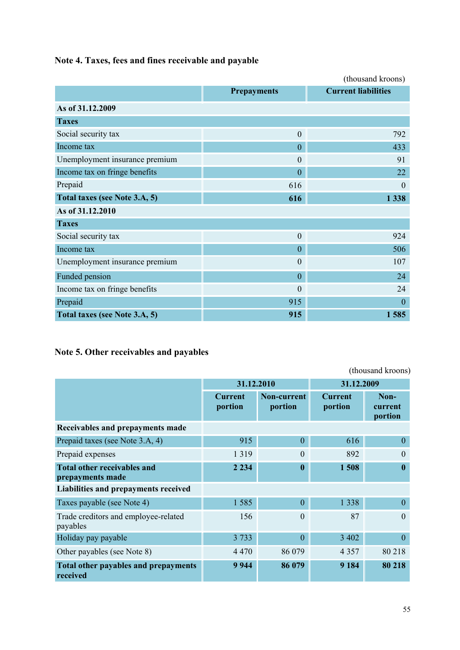**Note 4. Taxes, fees and fines receivable and payable**

|                                |                    | (thousand kroons)          |
|--------------------------------|--------------------|----------------------------|
|                                | <b>Prepayments</b> | <b>Current liabilities</b> |
| As of 31.12.2009               |                    |                            |
| <b>Taxes</b>                   |                    |                            |
| Social security tax            | $\overline{0}$     | 792                        |
| Income tax                     | $\overline{0}$     | 433                        |
| Unemployment insurance premium | $\overline{0}$     | 91                         |
| Income tax on fringe benefits  | $\overline{0}$     | 22                         |
| Prepaid                        | 616                | $\theta$                   |
| Total taxes (see Note 3.A, 5)  | 616                | 1 3 3 8                    |
| As of 31.12.2010               |                    |                            |
| <b>Taxes</b>                   |                    |                            |
| Social security tax            | $\overline{0}$     | 924                        |
| Income tax                     | $\boldsymbol{0}$   | 506                        |
| Unemployment insurance premium | $\theta$           | 107                        |
| Funded pension                 | $\overline{0}$     | 24                         |
| Income tax on fringe benefits  | $\mathbf{0}$       | 24                         |
| Prepaid                        | 915                | $\mathbf{0}$               |
| Total taxes (see Note 3.A, 5)  | 915                | 1585                       |

# **Note 5. Other receivables and payables**

| (thousand kroons)                                       |                           |                        |                           |                            |
|---------------------------------------------------------|---------------------------|------------------------|---------------------------|----------------------------|
|                                                         | 31.12.2010                |                        | 31.12.2009                |                            |
|                                                         | <b>Current</b><br>portion | Non-current<br>portion | <b>Current</b><br>portion | Non-<br>current<br>portion |
| Receivables and prepayments made                        |                           |                        |                           |                            |
| Prepaid taxes (see Note 3.A, 4)                         | 915                       | $\overline{0}$         | 616                       | $\theta$                   |
| Prepaid expenses                                        | 1 3 1 9                   | $\Omega$               | 892                       | $\Omega$                   |
| <b>Total other receivables and</b><br>prepayments made  | 2 2 3 4                   | $\bf{0}$               | 1508                      |                            |
| Liabilities and prepayments received                    |                           |                        |                           |                            |
| Taxes payable (see Note 4)                              | 1585                      | $\overline{0}$         | 1 3 3 8                   | $\Omega$                   |
| Trade creditors and employee-related<br>payables        | 156                       | $\Omega$               | 87                        | $\Omega$                   |
| Holiday pay payable                                     | 3 7 3 3                   | $\overline{0}$         | 3 4 0 2                   | $\Omega$                   |
| Other payables (see Note 8)                             | 4 4 7 0                   | 86 079                 | 4 3 5 7                   | 80 218                     |
| <b>Total other payables and prepayments</b><br>received | 9 9 4 4                   | 86 079                 | 9 1 8 4                   | 80 218                     |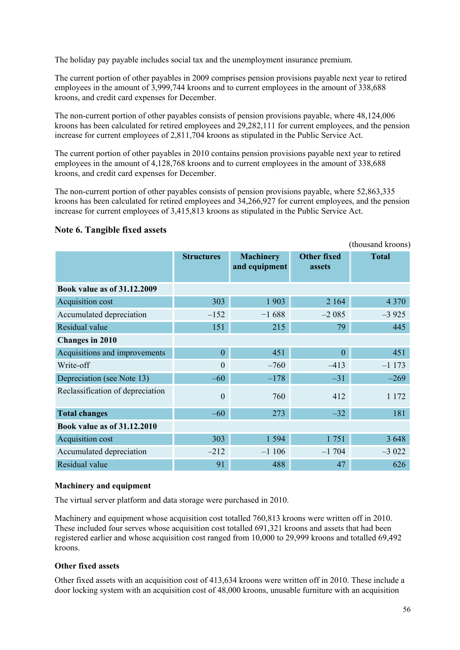The holiday pay payable includes social tax and the unemployment insurance premium.

The current portion of other payables in 2009 comprises pension provisions payable next year to retired employees in the amount of 3,999,744 kroons and to current employees in the amount of 338,688 kroons, and credit card expenses for December.

The non-current portion of other payables consists of pension provisions payable, where 48,124,006 kroons has been calculated for retired employees and 29,282,111 for current employees, and the pension increase for current employees of 2,811,704 kroons as stipulated in the Public Service Act.

The current portion of other payables in 2010 contains pension provisions payable next year to retired employees in the amount of 4,128,768 kroons and to current employees in the amount of 338,688 kroons, and credit card expenses for December.

The non-current portion of other payables consists of pension provisions payable, where 52,863,335 kroons has been calculated for retired employees and 34,266,927 for current employees, and the pension increase for current employees of 3,415,813 kroons as stipulated in the Public Service Act.

### **Note 6. Tangible fixed assets**

|                                    |                   |                                   |                                     | (thousand kroons) |
|------------------------------------|-------------------|-----------------------------------|-------------------------------------|-------------------|
|                                    | <b>Structures</b> | <b>Machinery</b><br>and equipment | <b>Other fixed</b><br><b>assets</b> | <b>Total</b>      |
| <b>Book value as of 31.12.2009</b> |                   |                                   |                                     |                   |
| Acquisition cost                   | 303               | 1 9 0 3                           | 2 1 6 4                             | 4 3 7 0           |
| Accumulated depreciation           | $-152$            | $-1688$                           | $-2085$                             | $-3925$           |
| Residual value                     | 151               | 215                               | 79                                  | 445               |
| Changes in 2010                    |                   |                                   |                                     |                   |
| Acquisitions and improvements      | $\overline{0}$    | 451                               | $\mathbf{0}$                        | 451               |
| Write-off                          | $\overline{0}$    | $-760$                            | $-413$                              | $-1173$           |
| Depreciation (see Note 13)         | $-60$             | $-178$                            | $-31$                               | $-269$            |
| Reclassification of depreciation   | $\theta$          | 760                               | 412                                 | 1 1 7 2           |
| <b>Total changes</b>               | $-60$             | 273                               | $-32$                               | 181               |
| <b>Book value as of 31.12.2010</b> |                   |                                   |                                     |                   |
| Acquisition cost                   | 303               | 1 5 9 4                           | 1751                                | 3 6 4 8           |
| Accumulated depreciation           | $-212$            | $-1106$                           | $-1704$                             | $-3022$           |
| Residual value                     | 91                | 488                               | 47                                  | 626               |

#### **Machinery and equipment**

The virtual server platform and data storage were purchased in 2010.

Machinery and equipment whose acquisition cost totalled 760,813 kroons were written off in 2010. These included four serves whose acquisition cost totalled 691,321 kroons and assets that had been registered earlier and whose acquisition cost ranged from 10,000 to 29,999 kroons and totalled 69,492 kroons.

#### **Other fixed assets**

Other fixed assets with an acquisition cost of 413,634 kroons were written off in 2010. These include a door locking system with an acquisition cost of 48,000 kroons, unusable furniture with an acquisition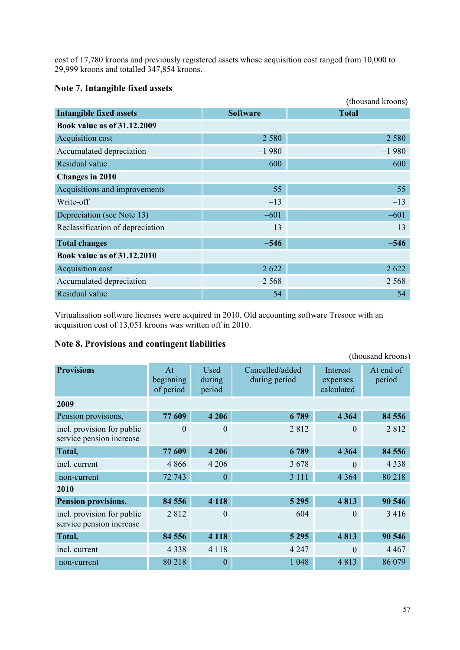cost of 17,780 kroons and previously registered assets whose acquisition cost ranged from 10,000 to 29,999 kroons and totalled 347,854 kroons.

### **Note 7. Intangible fixed assets**

|                                    |                 | (thousand kroons) |
|------------------------------------|-----------------|-------------------|
| <b>Intangible fixed assets</b>     | <b>Software</b> | <b>Total</b>      |
| <b>Book value as of 31.12.2009</b> |                 |                   |
| Acquisition cost                   | 2 5 8 0         | 2 5 8 0           |
| Accumulated depreciation           | $-1980$         | $-1980$           |
| Residual value                     | 600             | 600               |
| <b>Changes in 2010</b>             |                 |                   |
| Acquisitions and improvements      | 55              | 55                |
| Write-off                          | $-13$           | $-13$             |
| Depreciation (see Note 13)         | $-601$          | $-601$            |
| Reclassification of depreciation   | 13              | 13                |
| <b>Total changes</b>               | $-546$          | $-546$            |
| <b>Book value as of 31.12.2010</b> |                 |                   |
| Acquisition cost                   | 2 6 2 2         | 2 6 2 2           |
| Accumulated depreciation           | $-2,568$        | $-2,568$          |
| Residual value                     | 54              | 54                |

Virtualisation software licenses were acquired in 2010. Old accounting software Tresoor with an acquisition cost of 13,051 kroons was written off in 2010.

### **Note 8. Provisions and contingent liabilities**

|                                                        |                              |                          |                                  |                                    | (thousand kroons)   |
|--------------------------------------------------------|------------------------------|--------------------------|----------------------------------|------------------------------------|---------------------|
| <b>Provisions</b>                                      | At<br>beginning<br>of period | Used<br>during<br>period | Cancelled/added<br>during period | Interest<br>expenses<br>calculated | At end of<br>period |
| 2009                                                   |                              |                          |                                  |                                    |                     |
| Pension provisions,                                    | 77 609                       | 4 2 0 6                  | 6789                             | 4 3 6 4                            | 84 556              |
| incl. provision for public<br>service pension increase | $\theta$                     | $\Omega$                 | 2812                             | $\Omega$                           | 2812                |
| Total,                                                 | 77 609                       | 4 2 0 6                  | 6789                             | 4 3 6 4                            | 84 556              |
| incl. current                                          | 4 8 6 6                      | 4 2 0 6                  | 3678                             | $\Omega$                           | 4 3 3 8             |
| non-current                                            | 72 743                       | $\overline{0}$           | 3 1 1 1                          | 4 3 6 4                            | 80 218              |
| 2010                                                   |                              |                          |                                  |                                    |                     |
| Pension provisions,                                    | 84 556                       | 4 1 1 8                  | 5 2 9 5                          | 4813                               | 90 546              |
| incl. provision for public<br>service pension increase | 2812                         | $\theta$                 | 604                              | $\Omega$                           | 3 4 1 6             |
| Total,                                                 | 84 556                       | 4 1 1 8                  | 5 2 9 5                          | 4813                               | 90 546              |
| incl. current                                          | 4 3 3 8                      | 4 1 1 8                  | 4 2 4 7                          | $\Omega$                           | 4 4 6 7             |
| non-current                                            | 80 218                       | $\overline{0}$           | 1 0 4 8                          | 4813                               | 86 079              |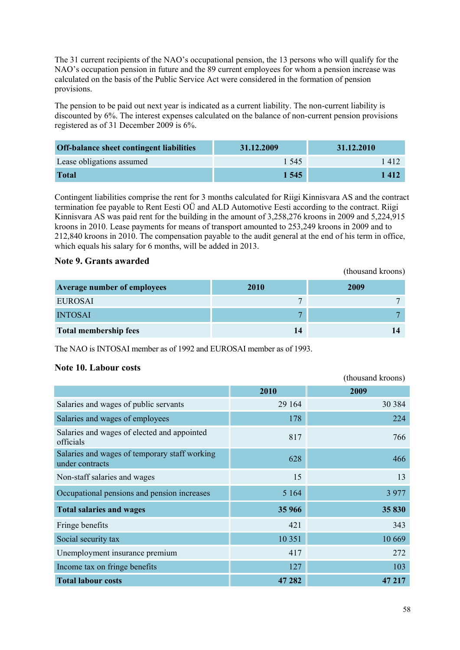The 31 current recipients of the NAO"s occupational pension, the 13 persons who will qualify for the NAO"s occupation pension in future and the 89 current employees for whom a pension increase was calculated on the basis of the Public Service Act were considered in the formation of pension provisions.

The pension to be paid out next year is indicated as a current liability. The non-current liability is discounted by 6%. The interest expenses calculated on the balance of non-current pension provisions registered as of 31 December 2009 is 6%.

| <b>Off-balance sheet contingent liabilities</b> | 31.12.2009 | 31.12.2010 |
|-------------------------------------------------|------------|------------|
| Lease obligations assumed                       | 1.545      | 1412       |
| <b>Total</b>                                    | 1 545      | 1 4 1 2    |

Contingent liabilities comprise the rent for 3 months calculated for Riigi Kinnisvara AS and the contract termination fee payable to Rent Eesti OÜ and ALD Automotive Eesti according to the contract. Riigi Kinnisvara AS was paid rent for the building in the amount of 3,258,276 kroons in 2009 and 5,224,915 kroons in 2010. Lease payments for means of transport amounted to 253,249 kroons in 2009 and to 212,840 kroons in 2010. The compensation payable to the audit general at the end of his term in office, which equals his salary for 6 months, will be added in 2013.

### **Note 9. Grants awarded**

|                              |             | (thousand kroons) |
|------------------------------|-------------|-------------------|
| Average number of employees  | <b>2010</b> | 2009              |
| <b>EUROSAI</b>               |             |                   |
| <b>INTOSAI</b>               | 7           |                   |
| <b>Total membership fees</b> | 14          |                   |

The NAO is INTOSAI member as of 1992 and EUROSAI member as of 1993.

### **Note 10. Labour costs**

|                                                                  |         | (thousand kroons) |
|------------------------------------------------------------------|---------|-------------------|
|                                                                  | 2010    | 2009              |
| Salaries and wages of public servants                            | 29 164  | 30 384            |
| Salaries and wages of employees                                  | 178     | 224               |
| Salaries and wages of elected and appointed<br>officials         | 817     | 766               |
| Salaries and wages of temporary staff working<br>under contracts | 628     | 466               |
| Non-staff salaries and wages                                     | 15      | 13                |
| Occupational pensions and pension increases                      | 5 1 6 4 | 3 9 7 7           |
| <b>Total salaries and wages</b>                                  | 35 966  | 35 830            |
| Fringe benefits                                                  | 421     | 343               |
| Social security tax                                              | 10 351  | 10 669            |
| Unemployment insurance premium                                   | 417     | 272               |
| Income tax on fringe benefits                                    | 127     | 103               |
| <b>Total labour costs</b>                                        | 47 282  | 47 217            |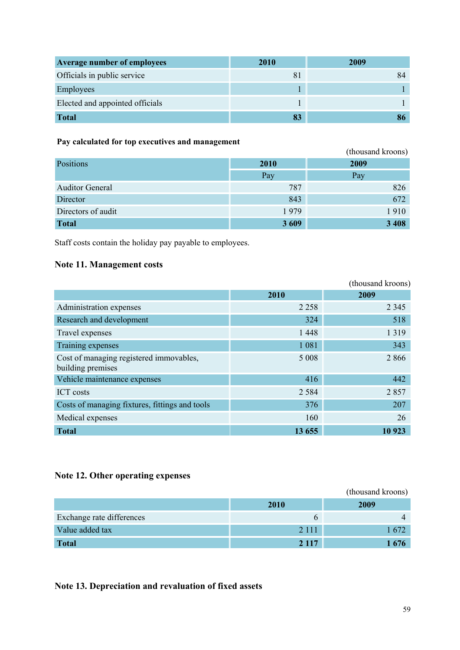| <b>Average number of employees</b> | <b>2010</b> | 2009 |
|------------------------------------|-------------|------|
| Officials in public service        | 8           |      |
| Employees                          |             |      |
| Elected and appointed officials    |             |      |
| <b>Total</b>                       | 83          |      |

### **Pay calculated for top executives and management**

| 1 ay canculated for top executives and management |             |                   |  |
|---------------------------------------------------|-------------|-------------------|--|
|                                                   |             | (thousand kroons) |  |
| Positions                                         | <b>2010</b> | 2009              |  |
|                                                   | Pay         | Pay               |  |
| <b>Auditor General</b>                            | 787         | 826               |  |
| Director                                          | 843         | 672               |  |
| Directors of audit                                | 1979        | 1910              |  |
| <b>Total</b>                                      | 3 6 0 9     | 3 4 0 8           |  |

Staff costs contain the holiday pay payable to employees.

### **Note 11. Management costs**

|                                                              |         | (thousand kroons) |
|--------------------------------------------------------------|---------|-------------------|
|                                                              | 2010    | 2009              |
| Administration expenses                                      | 2 2 5 8 | 2 3 4 5           |
| Research and development                                     | 324     | 518               |
| Travel expenses                                              | 1 4 4 8 | 1 3 1 9           |
| Training expenses                                            | 1 0 8 1 | 343               |
| Cost of managing registered immovables,<br>building premises | 5 0 0 8 | 2866              |
| Vehicle maintenance expenses                                 | 416     | 442               |
| <b>ICT</b> costs                                             | 2 5 8 4 | 2857              |
| Costs of managing fixtures, fittings and tools               | 376     | 207               |
| Medical expenses                                             | 160     | 26                |
| <b>Total</b>                                                 | 13 655  | 10 923            |

### **Note 12. Other operating expenses**

|                           |         | (thousand kroons) |
|---------------------------|---------|-------------------|
|                           | 2010    | 2009              |
| Exchange rate differences |         |                   |
| Value added tax           | 2 1 1 1 | 1672              |
| <b>Total</b>              | 2 1 1 7 | 1676              |

### **Note 13. Depreciation and revaluation of fixed assets**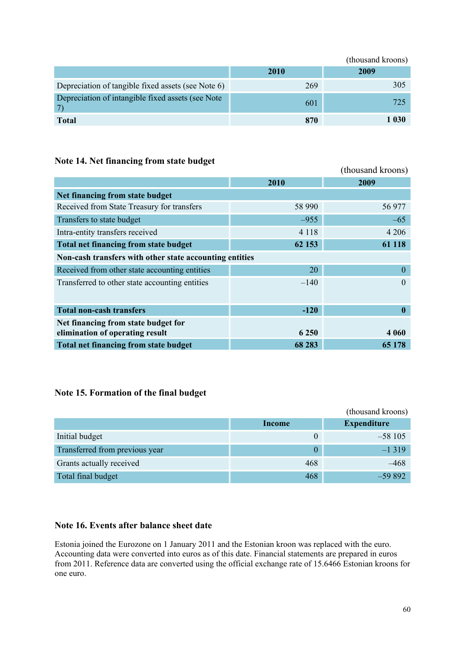|                                                    |      | (thousand kroons) |
|----------------------------------------------------|------|-------------------|
|                                                    | 2010 | 2009              |
| Depreciation of tangible fixed assets (see Note 6) | 269  | 305               |
| Depreciation of intangible fixed assets (see Note) | 601  | 725               |
| <b>Total</b>                                       | 870  | 1 030             |

### **Note 14. Net financing from state budget**

|                                                         |         | (thousand kroons) |
|---------------------------------------------------------|---------|-------------------|
|                                                         | 2010    | 2009              |
| Net financing from state budget                         |         |                   |
| Received from State Treasury for transfers              | 58 990  | 56 977            |
| Transfers to state budget                               | $-955$  | $-65$             |
| Intra-entity transfers received                         | 4 1 1 8 | 4 2 0 6           |
| <b>Total net financing from state budget</b>            | 62 153  | 61 118            |
| Non-cash transfers with other state accounting entities |         |                   |
| Received from other state accounting entities           | 20      | $\mathbf{0}$      |
| Transferred to other state accounting entities          | $-140$  | $\Omega$          |
|                                                         |         |                   |
| <b>Total non-cash transfers</b>                         | $-120$  | $\bf{0}$          |
| Net financing from state budget for                     |         |                   |
| elimination of operating result                         | 6 2 5 0 | 4 0 6 0           |
| <b>Total net financing from state budget</b>            | 68 283  | 65 178            |

### **Note 15. Formation of the final budget**

|                                |        | (thousand kroons)  |
|--------------------------------|--------|--------------------|
|                                | Income | <b>Expenditure</b> |
| Initial budget                 |        | $-58105$           |
| Transferred from previous year |        | $-1319$            |
| Grants actually received       | 468    | –468               |
| Total final budget             | 468    | $-59892$           |

### **Note 16. Events after balance sheet date**

Estonia joined the Eurozone on 1 January 2011 and the Estonian kroon was replaced with the euro. Accounting data were converted into euros as of this date. Financial statements are prepared in euros from 2011. Reference data are converted using the official exchange rate of 15.6466 Estonian kroons for one euro.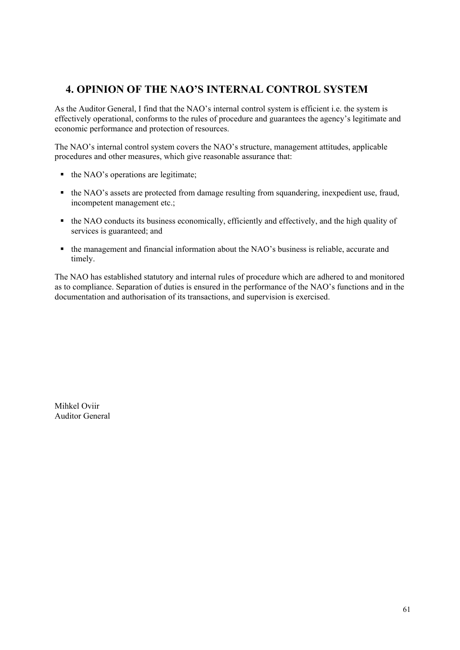## <span id="page-60-0"></span>**4. OPINION OF THE NAO'S INTERNAL CONTROL SYSTEM**

As the Auditor General, I find that the NAO"s internal control system is efficient i.e. the system is effectively operational, conforms to the rules of procedure and guarantees the agency"s legitimate and economic performance and protection of resources.

The NAO"s internal control system covers the NAO"s structure, management attitudes, applicable procedures and other measures, which give reasonable assurance that:

- $\blacksquare$  the NAO's operations are legitimate;
- the NAO's assets are protected from damage resulting from squandering, inexpedient use, fraud, incompetent management etc.;
- the NAO conducts its business economically, efficiently and effectively, and the high quality of services is guaranteed; and
- the management and financial information about the NAO"s business is reliable, accurate and timely.

The NAO has established statutory and internal rules of procedure which are adhered to and monitored as to compliance. Separation of duties is ensured in the performance of the NAO"s functions and in the documentation and authorisation of its transactions, and supervision is exercised.

Mihkel Oviir Auditor General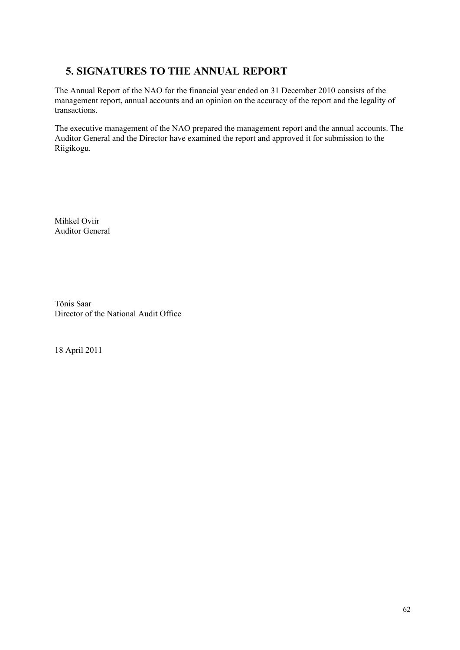# <span id="page-61-0"></span>**5. SIGNATURES TO THE ANNUAL REPORT**

The Annual Report of the NAO for the financial year ended on 31 December 2010 consists of the management report, annual accounts and an opinion on the accuracy of the report and the legality of transactions.

The executive management of the NAO prepared the management report and the annual accounts. The Auditor General and the Director have examined the report and approved it for submission to the Riigikogu.

Mihkel Oviir Auditor General

Tõnis Saar Director of the National Audit Office

18 April 2011